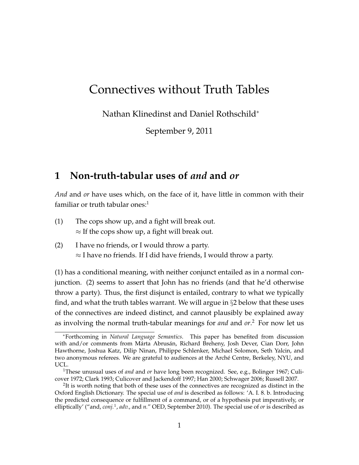# Connectives without Truth Tables

Nathan Klinedinst and Daniel Rothschild<sup>∗</sup>

September 9, 2011

# **1 Non-truth-tabular uses of** *and* **and** *or*

*And* and *or* have uses which, on the face of it, have little in common with their familiar or truth tabular ones: $1$ 

- (1) The cops show up, and a fight will break out.  $\approx$  If the cops show up, a fight will break out.
- (2) I have no friends, or I would throw a party.  $\approx$  I have no friends. If I did have friends, I would throw a party.

(1) has a conditional meaning, with neither conjunct entailed as in a normal conjunction. (2) seems to assert that John has no friends (and that he'd otherwise throw a party). Thus, the first disjunct is entailed, contrary to what we typically find, and what the truth tables warrant. We will argue in §2 below that these uses of the connectives are indeed distinct, and cannot plausibly be explained away as involving the normal truth-tabular meanings for *and* and *or*. <sup>2</sup> For now let us

<sup>∗</sup>Forthcoming in *Natural Language Semantics*. This paper has benefited from discussion with and/or comments from Márta Abrusán, Richard Breheny, Josh Dever, Cian Dorr, John Hawthorne, Joshua Katz, Dilip Ninan, Philippe Schlenker, Michael Solomon, Seth Yalcin, and two anonymous referees. We are grateful to audiences at the Arché Centre, Berkeley, NYU, and UCL.

<sup>1</sup>These unusual uses of *and* and *or* have long been recognized. See, e.g., Bolinger 1967; Culicover 1972; Clark 1993; Culicover and Jackendoff 1997; Han 2000; Schwager 2006; Russell 2007.

 $2$ It is worth noting that both of these uses of the connectives are recognized as distinct in the Oxford English Dictionary. The special use of *and* is described as follows: 'A. I. 8. b. Introducing the predicted consequence or fulfillment of a command, or of a hypothesis put imperatively, or elliptically' ("and, *conj.*<sup>1</sup> , *adv.*, and *n.*" OED, September 2010). The special use of *or* is described as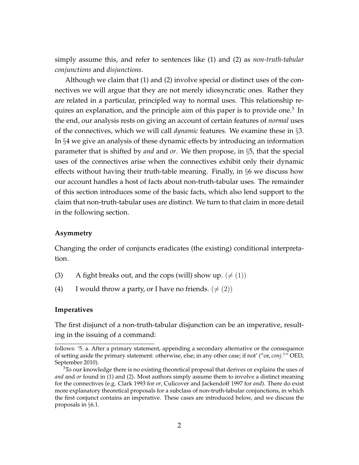simply assume this, and refer to sentences like (1) and (2) as *non-truth-tabular conjunctions* and *disjunctions*.

Although we claim that (1) and (2) involve special or distinct uses of the connectives we will argue that they are not merely idiosyncratic ones. Rather they are related in a particular, principled way to normal uses. This relationship requires an explanation, and the principle aim of this paper is to provide one.<sup>3</sup> In the end, our analysis rests on giving an account of certain features of *normal* uses of the connectives, which we will call *dynamic* features. We examine these in §3. In §4 we give an analysis of these dynamic effects by introducing an information parameter that is shifted by *and* and *or*. We then propose, in §5, that the special uses of the connectives arise when the connectives exhibit only their dynamic effects without having their truth-table meaning. Finally, in §6 we discuss how our account handles a host of facts about non-truth-tabular uses. The remainder of this section introduces some of the basic facts, which also lend support to the claim that non-truth-tabular uses are distinct. We turn to that claim in more detail in the following section.

#### **Asymmetry**

Changing the order of conjuncts eradicates (the existing) conditional interpretation.

- (3) A fight breaks out, and the cops (will) show up.  $(\neq (1))$
- (4) I would throw a party, or I have no friends.  $(\neq (2))$

#### **Imperatives**

The first disjunct of a non-truth-tabular disjunction can be an imperative, resulting in the issuing of a command:

follows: '5. a. After a primary statement, appending a secondary alternative or the consequence of setting aside the primary statement: otherwise, else; in any other case; if not' ("or, *conj.*<sup>1</sup>" OED, September 2010).

 $3$ To our knowledge there is no existing theoretical proposal that derives or explains the uses of *and* and *or* found in (1) and (2). Most authors simply assume them to involve a distinct meaning for the connectives (e.g. Clark 1993 for *or*, Culicover and Jackendoff 1997 for *and*). There do exist more explanatory theoretical proposals for a subclass of non-truth-tabular conjunctions, in which the first conjunct contains an imperative. These cases are introduced below, and we discuss the proposals in §6.1.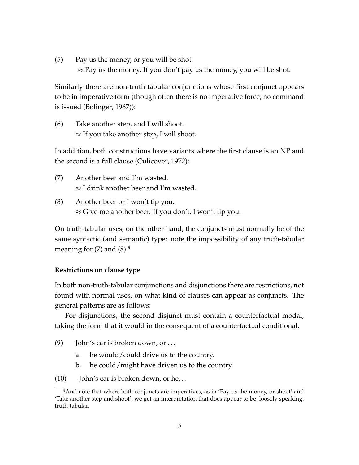(5) Pay us the money, or you will be shot.

 $\approx$  Pay us the money. If you don't pay us the money, you will be shot.

Similarly there are non-truth tabular conjunctions whose first conjunct appears to be in imperative form (though often there is no imperative force; no command is issued (Bolinger, 1967)):

(6) Take another step, and I will shoot.  $\approx$  If you take another step, I will shoot.

In addition, both constructions have variants where the first clause is an NP and the second is a full clause (Culicover, 1972):

- (7) Another beer and I'm wasted.  $\approx$  I drink another beer and I'm wasted.
- (8) Another beer or I won't tip you.  $\approx$  Give me another beer. If you don't, I won't tip you.

On truth-tabular uses, on the other hand, the conjuncts must normally be of the same syntactic (and semantic) type: note the impossibility of any truth-tabular meaning for  $(7)$  and  $(8).4$ 

### **Restrictions on clause type**

In both non-truth-tabular conjunctions and disjunctions there are restrictions, not found with normal uses, on what kind of clauses can appear as conjuncts. The general patterns are as follows:

For disjunctions, the second disjunct must contain a counterfactual modal, taking the form that it would in the consequent of a counterfactual conditional.

- (9) John's car is broken down, or  $\dots$ 
	- a. he would/could drive us to the country.
	- b. he could/might have driven us to the country.
- (10) John's car is broken down, or he. . .

<sup>&</sup>lt;sup>4</sup>And note that where both conjuncts are imperatives, as in 'Pay us the money, or shoot' and 'Take another step and shoot', we get an interpretation that does appear to be, loosely speaking, truth-tabular.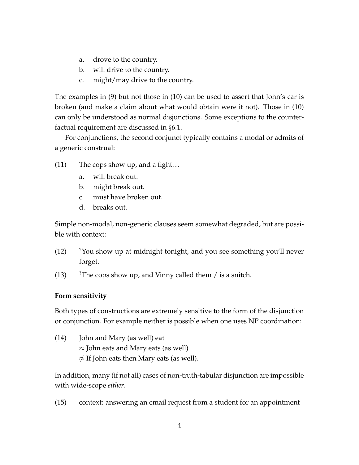- a. drove to the country.
- b. will drive to the country.
- c. might/may drive to the country.

The examples in (9) but not those in (10) can be used to assert that John's car is broken (and make a claim about what would obtain were it not). Those in (10) can only be understood as normal disjunctions. Some exceptions to the counterfactual requirement are discussed in §6.1.

For conjunctions, the second conjunct typically contains a modal or admits of a generic construal:

- (11) The cops show up, and a fight. . .
	- a. will break out.
	- b. might break out.
	- c. must have broken out.
	- d. breaks out.

Simple non-modal, non-generic clauses seem somewhat degraded, but are possible with context:

- $(12)$  <sup>?</sup>You show up at midnight tonight, and you see something you'll never forget.
- (13) <sup>?</sup>The cops show up, and Vinny called them  $\ell$  is a snitch.

### **Form sensitivity**

Both types of constructions are extremely sensitive to the form of the disjunction or conjunction. For example neither is possible when one uses NP coordination:

(14) John and Mary (as well) eat ≈ John eats and Mary eats (as well)  $\frac{\partial}{\partial s}$  If John eats then Mary eats (as well).

In addition, many (if not all) cases of non-truth-tabular disjunction are impossible with wide-scope *either*.

(15) context: answering an email request from a student for an appointment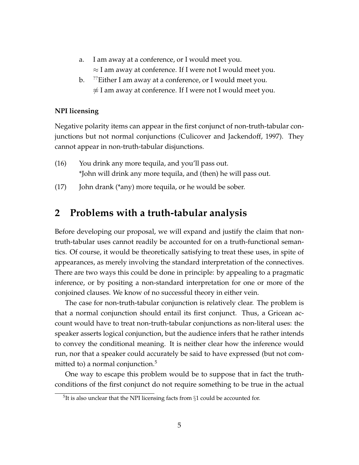- a. I am away at a conference, or I would meet you.  $\approx$  I am away at conference. If I were not I would meet you.
- b. <sup>77</sup>Either I am away at a conference, or I would meet you.  $\frac{1}{\infty}$  I am away at conference. If I were not I would meet you.

### **NPI licensing**

Negative polarity items can appear in the first conjunct of non-truth-tabular conjunctions but not normal conjunctions (Culicover and Jackendoff, 1997). They cannot appear in non-truth-tabular disjunctions.

- (16) You drink any more tequila, and you'll pass out. \*John will drink any more tequila, and (then) he will pass out.
- (17) John drank (\*any) more tequila, or he would be sober.

## **2 Problems with a truth-tabular analysis**

Before developing our proposal, we will expand and justify the claim that nontruth-tabular uses cannot readily be accounted for on a truth-functional semantics. Of course, it would be theoretically satisfying to treat these uses, in spite of appearances, as merely involving the standard interpretation of the connectives. There are two ways this could be done in principle: by appealing to a pragmatic inference, or by positing a non-standard interpretation for one or more of the conjoined clauses. We know of no successful theory in either vein.

The case for non-truth-tabular conjunction is relatively clear. The problem is that a normal conjunction should entail its first conjunct. Thus, a Gricean account would have to treat non-truth-tabular conjunctions as non-literal uses: the speaker asserts logical conjunction, but the audience infers that he rather intends to convey the conditional meaning. It is neither clear how the inference would run, nor that a speaker could accurately be said to have expressed (but not committed to) a normal conjunction. $5$ 

One way to escape this problem would be to suppose that in fact the truthconditions of the first conjunct do not require something to be true in the actual

<sup>&</sup>lt;sup>5</sup>It is also unclear that the NPI licensing facts from  $\S1$  could be accounted for.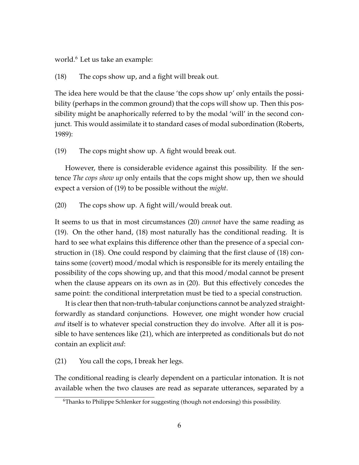world.<sup>6</sup> Let us take an example:

### (18) The cops show up, and a fight will break out.

The idea here would be that the clause 'the cops show up' only entails the possibility (perhaps in the common ground) that the cops will show up. Then this possibility might be anaphorically referred to by the modal 'will' in the second conjunct. This would assimilate it to standard cases of modal subordination (Roberts, 1989):

#### (19) The cops might show up. A fight would break out.

However, there is considerable evidence against this possibility. If the sentence *The cops show up* only entails that the cops might show up, then we should expect a version of (19) to be possible without the *might*.

(20) The cops show up. A fight will/would break out.

It seems to us that in most circumstances (20) *cannot* have the same reading as (19). On the other hand, (18) most naturally has the conditional reading. It is hard to see what explains this difference other than the presence of a special construction in (18). One could respond by claiming that the first clause of (18) contains some (covert) mood/modal which is responsible for its merely entailing the possibility of the cops showing up, and that this mood/modal cannot be present when the clause appears on its own as in (20). But this effectively concedes the same point: the conditional interpretation must be tied to a special construction.

It is clear then that non-truth-tabular conjunctions cannot be analyzed straightforwardly as standard conjunctions. However, one might wonder how crucial *and* itself is to whatever special construction they do involve. After all it is possible to have sentences like (21), which are interpreted as conditionals but do not contain an explicit *and*:

(21) You call the cops, I break her legs.

The conditional reading is clearly dependent on a particular intonation. It is not available when the two clauses are read as separate utterances, separated by a

<sup>&</sup>lt;sup>6</sup>Thanks to Philippe Schlenker for suggesting (though not endorsing) this possibility.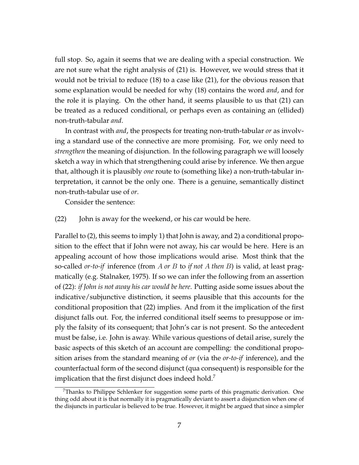full stop. So, again it seems that we are dealing with a special construction. We are not sure what the right analysis of (21) is. However, we would stress that it would not be trivial to reduce (18) to a case like (21), for the obvious reason that some explanation would be needed for why (18) contains the word *and*, and for the role it is playing. On the other hand, it seems plausible to us that (21) can be treated as a reduced conditional, or perhaps even as containing an (ellided) non-truth-tabular *and*.

In contrast with *and*, the prospects for treating non-truth-tabular *or* as involving a standard use of the connective are more promising. For, we only need to *strengthen* the meaning of disjunction. In the following paragraph we will loosely sketch a way in which that strengthening could arise by inference. We then argue that, although it is plausibly *one* route to (something like) a non-truth-tabular interpretation, it cannot be the only one. There is a genuine, semantically distinct non-truth-tabular use of *or*.

Consider the sentence:

#### (22) John is away for the weekend, or his car would be here.

Parallel to (2), this seems to imply 1) that John is away, and 2) a conditional proposition to the effect that if John were not away, his car would be here. Here is an appealing account of how those implications would arise. Most think that the so-called *or-to-if* inference (from A *or* B to *if not* A *then* B) is valid, at least pragmatically (e.g. Stalnaker, 1975). If so we can infer the following from an assertion of (22): *if John is not away his car would be here*. Putting aside some issues about the indicative/subjunctive distinction, it seems plausible that this accounts for the conditional proposition that (22) implies. And from it the implication of the first disjunct falls out. For, the inferred conditional itself seems to presuppose or imply the falsity of its consequent; that John's car is not present. So the antecedent must be false, i.e. John is away. While various questions of detail arise, surely the basic aspects of this sketch of an account are compelling: the conditional proposition arises from the standard meaning of *or* (via the *or-to-if* inference), and the counterfactual form of the second disjunct (qua consequent) is responsible for the implication that the first disjunct does indeed hold.<sup>7</sup>

<sup>7</sup>Thanks to Philippe Schlenker for suggestion some parts of this pragmatic derivation. One thing odd about it is that normally it is pragmatically deviant to assert a disjunction when one of the disjuncts in particular is believed to be true. However, it might be argued that since a simpler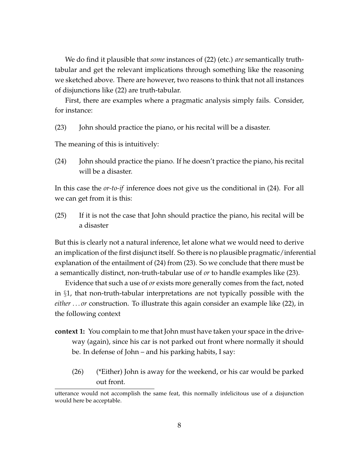We do find it plausible that *some* instances of (22) (etc.) *are* semantically truthtabular and get the relevant implications through something like the reasoning we sketched above. There are however, two reasons to think that not all instances of disjunctions like (22) are truth-tabular.

First, there are examples where a pragmatic analysis simply fails. Consider, for instance:

(23) John should practice the piano, or his recital will be a disaster.

The meaning of this is intuitively:

(24) John should practice the piano. If he doesn't practice the piano, his recital will be a disaster.

In this case the *or-to-if* inference does not give us the conditional in (24). For all we can get from it is this:

(25) If it is not the case that John should practice the piano, his recital will be a disaster

But this is clearly not a natural inference, let alone what we would need to derive an implication of the first disjunct itself. So there is no plausible pragmatic/inferential explanation of the entailment of (24) from (23). So we conclude that there must be a semantically distinct, non-truth-tabular use of *or* to handle examples like (23).

Evidence that such a use of *or* exists more generally comes from the fact, noted in §1, that non-truth-tabular interpretations are not typically possible with the *either . . . or* construction. To illustrate this again consider an example like (22), in the following context

- **context 1:** You complain to me that John must have taken your space in the driveway (again), since his car is not parked out front where normally it should be. In defense of John – and his parking habits, I say:
	- (26) (\*Either) John is away for the weekend, or his car would be parked out front.

utterance would not accomplish the same feat, this normally infelicitous use of a disjunction would here be acceptable.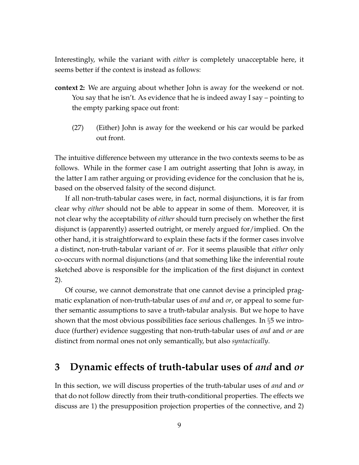Interestingly, while the variant with *either* is completely unacceptable here, it seems better if the context is instead as follows:

- **context 2:** We are arguing about whether John is away for the weekend or not. You say that he isn't. As evidence that he is indeed away I say – pointing to the empty parking space out front:
	- (27) (Either) John is away for the weekend or his car would be parked out front.

The intuitive difference between my utterance in the two contexts seems to be as follows. While in the former case I am outright asserting that John is away, in the latter I am rather arguing or providing evidence for the conclusion that he is, based on the observed falsity of the second disjunct.

If all non-truth-tabular cases were, in fact, normal disjunctions, it is far from clear why *either* should not be able to appear in some of them. Moreover, it is not clear why the acceptability of *either* should turn precisely on whether the first disjunct is (apparently) asserted outright, or merely argued for/implied. On the other hand, it is straightforward to explain these facts if the former cases involve a distinct, non-truth-tabular variant of *or*. For it seems plausible that *either* only co-occurs with normal disjunctions (and that something like the inferential route sketched above is responsible for the implication of the first disjunct in context 2).

Of course, we cannot demonstrate that one cannot devise a principled pragmatic explanation of non-truth-tabular uses of *and* and *or*, or appeal to some further semantic assumptions to save a truth-tabular analysis. But we hope to have shown that the most obvious possibilities face serious challenges. In §5 we introduce (further) evidence suggesting that non-truth-tabular uses of *and* and *or* are distinct from normal ones not only semantically, but also *syntactically*.

# **3 Dynamic effects of truth-tabular uses of** *and* **and** *or*

In this section, we will discuss properties of the truth-tabular uses of *and* and *or* that do not follow directly from their truth-conditional properties. The effects we discuss are 1) the presupposition projection properties of the connective, and 2)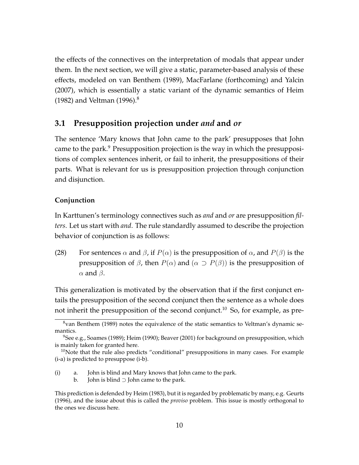the effects of the connectives on the interpretation of modals that appear under them. In the next section, we will give a static, parameter-based analysis of these effects, modeled on van Benthem (1989), MacFarlane (forthcoming) and Yalcin (2007), which is essentially a static variant of the dynamic semantics of Heim (1982) and Veltman (1996).<sup>8</sup>

### **3.1 Presupposition projection under** *and* **and** *or*

The sentence 'Mary knows that John came to the park' presupposes that John came to the park.<sup>9</sup> Presupposition projection is the way in which the presuppositions of complex sentences inherit, or fail to inherit, the presuppositions of their parts. What is relevant for us is presupposition projection through conjunction and disjunction.

#### **Conjunction**

In Karttunen's terminology connectives such as *and* and *or* are presupposition *filters*. Let us start with *and*. The rule standardly assumed to describe the projection behavior of conjunction is as follows:

(28) For sentences  $\alpha$  and  $\beta$ , if  $P(\alpha)$  is the presupposition of  $\alpha$ , and  $P(\beta)$  is the presupposition of *β*, then  $P(\alpha)$  and  $(\alpha \supset P(\beta))$  is the presupposition of  $α$  and  $β$ .

This generalization is motivated by the observation that if the first conjunct entails the presupposition of the second conjunct then the sentence as a whole does not inherit the presupposition of the second conjunct.<sup>10</sup> So, for example, as pre-

<sup>&</sup>lt;sup>8</sup>van Benthem (1989) notes the equivalence of the static semantics to Veltman's dynamic semantics.

<sup>9</sup>See e.g., Soames (1989); Heim (1990); Beaver (2001) for background on presupposition, which is mainly taken for granted here.

 $10$ Note that the rule also predicts "conditional" presuppositions in many cases. For example (i-a) is predicted to presuppose (i-b).

<sup>(</sup>i) a. John is blind and Mary knows that John came to the park.

b. John is blind ⊃ John came to the park.

This prediction is defended by Heim (1983), but it is regarded by problematic by many, e.g. Geurts (1996), and the issue about this is called the *proviso* problem. This issue is mostly orthogonal to the ones we discuss here.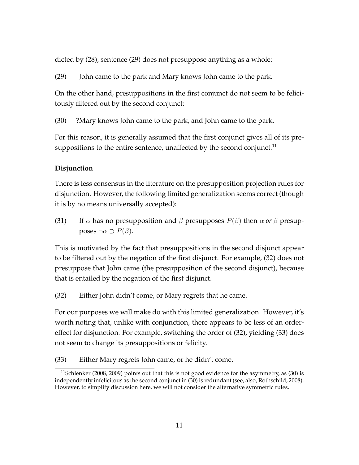dicted by (28), sentence (29) does not presuppose anything as a whole:

(29) John came to the park and Mary knows John came to the park.

On the other hand, presuppositions in the first conjunct do not seem to be felicitously filtered out by the second conjunct:

(30) ?Mary knows John came to the park, and John came to the park.

For this reason, it is generally assumed that the first conjunct gives all of its presuppositions to the entire sentence, unaffected by the second conjunct.<sup>11</sup>

### **Disjunction**

There is less consensus in the literature on the presupposition projection rules for disjunction. However, the following limited generalization seems correct (though it is by no means universally accepted):

(31) If  $\alpha$  has no presupposition and  $\beta$  presupposes  $P(\beta)$  then  $\alpha$  or  $\beta$  presupposes  $\neg \alpha$  ⊃  $P(β)$ .

This is motivated by the fact that presuppositions in the second disjunct appear to be filtered out by the negation of the first disjunct. For example, (32) does not presuppose that John came (the presupposition of the second disjunct), because that is entailed by the negation of the first disjunct.

(32) Either John didn't come, or Mary regrets that he came.

For our purposes we will make do with this limited generalization. However, it's worth noting that, unlike with conjunction, there appears to be less of an ordereffect for disjunction. For example, switching the order of (32), yielding (33) does not seem to change its presuppositions or felicity.

(33) Either Mary regrets John came, or he didn't come.

 $11$ Schlenker (2008, 2009) points out that this is not good evidence for the asymmetry, as (30) is independently infelicitous as the second conjunct in (30) is redundant (see, also, Rothschild, 2008). However, to simplify discussion here, we will not consider the alternative symmetric rules.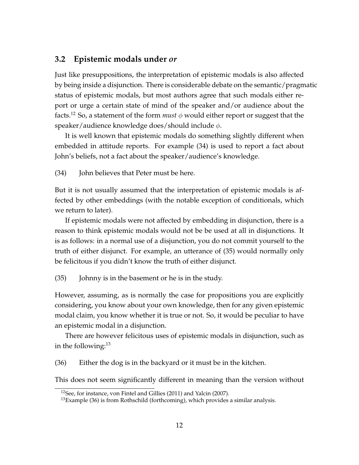### **3.2 Epistemic modals under** *or*

Just like presuppositions, the interpretation of epistemic modals is also affected by being inside a disjunction. There is considerable debate on the semantic/pragmatic status of epistemic modals, but most authors agree that such modals either report or urge a certain state of mind of the speaker and/or audience about the facts.<sup>12</sup> So, a statement of the form *must*  $\phi$  would either report or suggest that the speaker/audience knowledge does/should include  $\phi$ .

It is well known that epistemic modals do something slightly different when embedded in attitude reports. For example (34) is used to report a fact about John's beliefs, not a fact about the speaker/audience's knowledge.

(34) John believes that Peter must be here.

But it is not usually assumed that the interpretation of epistemic modals is affected by other embeddings (with the notable exception of conditionals, which we return to later).

If epistemic modals were not affected by embedding in disjunction, there is a reason to think epistemic modals would not be be used at all in disjunctions. It is as follows: in a normal use of a disjunction, you do not commit yourself to the truth of either disjunct. For example, an utterance of (35) would normally only be felicitous if you didn't know the truth of either disjunct.

(35) Johnny is in the basement or he is in the study.

However, assuming, as is normally the case for propositions you are explicitly considering, you know about your own knowledge, then for any given epistemic modal claim, you know whether it is true or not. So, it would be peculiar to have an epistemic modal in a disjunction.

There are however felicitous uses of epistemic modals in disjunction, such as in the following: $13$ 

(36) Either the dog is in the backyard or it must be in the kitchen.

This does not seem significantly different in meaning than the version without

<sup>&</sup>lt;sup>12</sup>See, for instance, von Fintel and Gillies (2011) and Yalcin (2007).

 $13$ Example (36) is from Rothschild (forthcoming), which provides a similar analysis.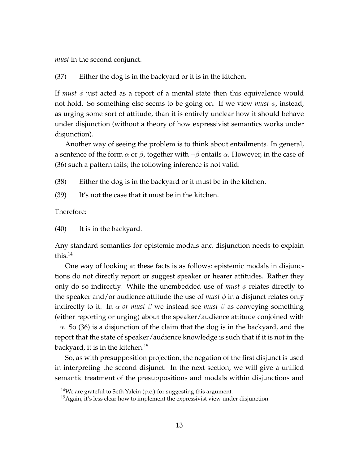*must* in the second conjunct.

(37) Either the dog is in the backyard or it is in the kitchen.

If *must*  $\phi$  just acted as a report of a mental state then this equivalence would not hold. So something else seems to be going on. If we view *must*  $\phi$ , instead, as urging some sort of attitude, than it is entirely unclear how it should behave under disjunction (without a theory of how expressivist semantics works under disjunction).

Another way of seeing the problem is to think about entailments. In general, a sentence of the form  $\alpha$  or  $\beta$ , together with  $\neg \beta$  entails  $\alpha$ . However, in the case of (36) such a pattern fails; the following inference is not valid:

(38) Either the dog is in the backyard or it must be in the kitchen.

(39) It's not the case that it must be in the kitchen.

Therefore:

(40) It is in the backyard.

Any standard semantics for epistemic modals and disjunction needs to explain this. $14$ 

One way of looking at these facts is as follows: epistemic modals in disjunctions do not directly report or suggest speaker or hearer attitudes. Rather they only do so indirectly. While the unembedded use of *must*  $\phi$  relates directly to the speaker and/or audience attitude the use of *must*  $\phi$  in a disjunct relates only indirectly to it. In  $\alpha$  *or must*  $\beta$  we instead see *must*  $\beta$  as conveying something (either reporting or urging) about the speaker/audience attitude conjoined with  $\neg \alpha$ . So (36) is a disjunction of the claim that the dog is in the backyard, and the report that the state of speaker/audience knowledge is such that if it is not in the backyard, it is in the kitchen.<sup>15</sup>

So, as with presupposition projection, the negation of the first disjunct is used in interpreting the second disjunct. In the next section, we will give a unified semantic treatment of the presuppositions and modals within disjunctions and

<sup>&</sup>lt;sup>14</sup>We are grateful to Seth Yalcin (p.c.) for suggesting this argument.

 $15$ Again, it's less clear how to implement the expressivist view under disjunction.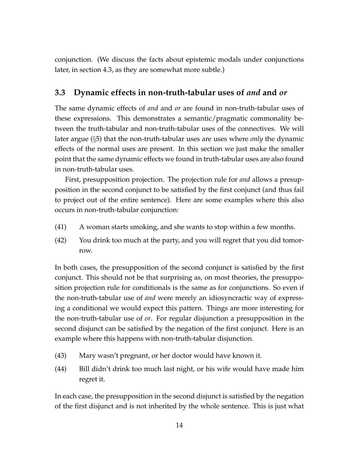conjunction. (We discuss the facts about epistemic modals under conjunctions later, in section 4.3, as they are somewhat more subtle.)

### **3.3 Dynamic effects in non-truth-tabular uses of** *and* **and** *or*

The same dynamic effects of *and* and *or* are found in non-truth-tabular uses of these expressions. This demonstrates a semantic/pragmatic commonality between the truth-tabular and non-truth-tabular uses of the connectives. We will later argue (§5) that the non-truth-tabular uses are uses where *only* the dynamic effects of the normal uses are present. In this section we just make the smaller point that the same dynamic effects we found in truth-tabular uses are also found in non-truth-tabular uses.

First, presupposition projection. The projection rule for *and* allows a presupposition in the second conjunct to be satisfied by the first conjunct (and thus fail to project out of the entire sentence). Here are some examples where this also occurs in non-truth-tabular conjunction:

- (41) A woman starts smoking, and she wants to stop within a few months.
- (42) You drink too much at the party, and you will regret that you did tomorrow.

In both cases, the presupposition of the second conjunct is satisfied by the first conjunct. This should not be that surprising as, on most theories, the presupposition projection rule for conditionals is the same as for conjunctions. So even if the non-truth-tabular use of *and* were merely an idiosyncractic way of expressing a conditional we would expect this pattern. Things are more interesting for the non-truth-tabular use of *or*. For regular disjunction a presupposition in the second disjunct can be satisfied by the negation of the first conjunct. Here is an example where this happens with non-truth-tabular disjunction.

- (43) Mary wasn't pregnant, or her doctor would have known it.
- (44) Bill didn't drink too much last night, or his wife would have made him regret it.

In each case, the presupposition in the second disjunct is satisfied by the negation of the first disjunct and is not inherited by the whole sentence. This is just what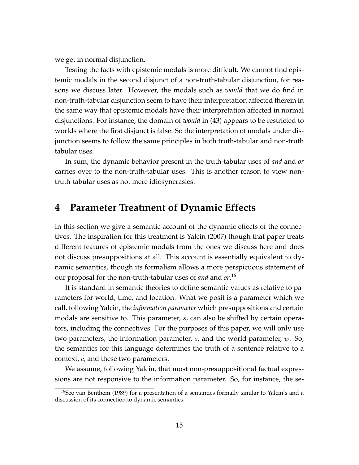we get in normal disjunction.

Testing the facts with epistemic modals is more difficult. We cannot find epistemic modals in the second disjunct of a non-truth-tabular disjunction, for reasons we discuss later. However, the modals such as *would* that we do find in non-truth-tabular disjunction seem to have their interpretation affected therein in the same way that epistemic modals have their interpretation affected in normal disjunctions. For instance, the domain of *would* in (43) appears to be restricted to worlds where the first disjunct is false. So the interpretation of modals under disjunction seems to follow the same principles in both truth-tabular and non-truth tabular uses.

In sum, the dynamic behavior present in the truth-tabular uses of *and* and *or* carries over to the non-truth-tabular uses. This is another reason to view nontruth-tabular uses as not mere idiosyncrasies.

## **4 Parameter Treatment of Dynamic Effects**

In this section we give a semantic account of the dynamic effects of the connectives. The inspiration for this treatment is Yalcin (2007) though that paper treats different features of epistemic modals from the ones we discuss here and does not discuss presuppositions at all. This account is essentially equivalent to dynamic semantics, though its formalism allows a more perspicuous statement of our proposal for the non-truth-tabular uses of *and* and *or*. 16

It is standard in semantic theories to define semantic values as relative to parameters for world, time, and location. What we posit is a parameter which we call, following Yalcin, the *information parameter* which presuppositions and certain modals are sensitive to. This parameter, s, can also be shifted by certain operators, including the connectives. For the purposes of this paper, we will only use two parameters, the information parameter,  $s$ , and the world parameter,  $w$ . So, the semantics for this language determines the truth of a sentence relative to a context, c, and these two parameters.

We assume, following Yalcin, that most non-presuppositional factual expressions are not responsive to the information parameter. So, for instance, the se-

<sup>&</sup>lt;sup>16</sup>See van Benthem (1989) for a presentation of a semantics formally similar to Yalcin's and a discussion of its connection to dynamic semantics.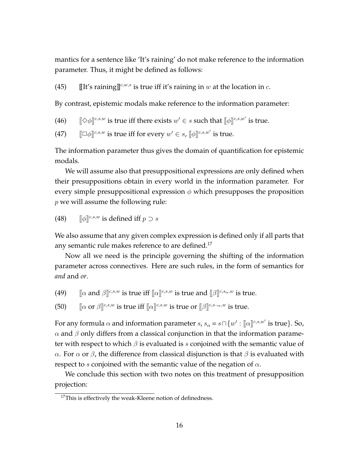mantics for a sentence like 'It's raining' do not make reference to the information parameter. Thus, it might be defined as follows:

(45) IIt's raining  $\int_0^{c,w,s}$  is true iff it's raining in w at the location in c.

By contrast, epistemic modals make reference to the information parameter:

- (46)  $[\![\diamondsuit\phi]\!]^{c,s,w}$  is true iff there exists  $w'\in s$  such that  $[\![\phi]\!]^{c,s,w'}$  is true.
- (47)  $\left[\Box\phi\right]^{c,s,w}$  is true iff for every  $w'\in s$ ,  $\left[\phi\right]^{c,s,w'}$  is true.

The information parameter thus gives the domain of quantification for epistemic modals.

We will assume also that presuppositional expressions are only defined when their presuppositions obtain in every world in the information parameter. For every simple presuppositional expression  $\phi$  which presupposes the proposition  $p$  we will assume the following rule:

(48) 
$$
\llbracket \phi \rrbracket^{c,s,w}
$$
 is defined iff  $p \supset s$ 

We also assume that any given complex expression is defined only if all parts that any semantic rule makes reference to are defined.<sup>17</sup>

Now all we need is the principle governing the shifting of the information parameter across connectives. Here are such rules, in the form of semantics for *and* and *or*.

- (49)  $\[\[\alpha\]$ and  $\beta\]^{c,s,w}$  is true iff  $\[\alpha\]^{c,s,w}$  is true and  $\[\beta\]^{c,s_\alpha,w}$  is true.
- (50)  $\left[\alpha \text{ or } \beta\right]^{c,s,w}$  is true iff  $\left[\alpha\right]^{c,s,w}$  is true or  $\left[\beta\right]^{c,s_{-\alpha},w}$  is true.

For any formula  $\alpha$  and information parameter  $s$ ,  $s_{\alpha} = s \cap \{w' : [\![\alpha]\!]^{c,s,w'}$  is true}. So,  $\alpha$  and  $\beta$  only differs from a classical conjunction in that the information parameter with respect to which  $\beta$  is evaluated is s conjoined with the semantic value of α. For  $\alpha$  or  $\beta$ , the difference from classical disjunction is that  $\beta$  is evaluated with respect to s conjoined with the semantic value of the negation of  $\alpha$ .

We conclude this section with two notes on this treatment of presupposition projection:

<sup>&</sup>lt;sup>17</sup>This is effectively the weak-Kleene notion of definedness.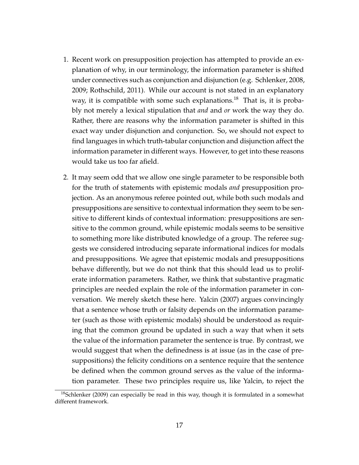- 1. Recent work on presupposition projection has attempted to provide an explanation of why, in our terminology, the information parameter is shifted under connectives such as conjunction and disjunction (e.g. Schlenker, 2008, 2009; Rothschild, 2011). While our account is not stated in an explanatory way, it is compatible with some such explanations.<sup>18</sup> That is, it is probably not merely a lexical stipulation that *and* and *or* work the way they do. Rather, there are reasons why the information parameter is shifted in this exact way under disjunction and conjunction. So, we should not expect to find languages in which truth-tabular conjunction and disjunction affect the information parameter in different ways. However, to get into these reasons would take us too far afield.
- 2. It may seem odd that we allow one single parameter to be responsible both for the truth of statements with epistemic modals *and* presupposition projection. As an anonymous referee pointed out, while both such modals and presuppositions are sensitive to contextual information they seem to be sensitive to different kinds of contextual information: presuppositions are sensitive to the common ground, while epistemic modals seems to be sensitive to something more like distributed knowledge of a group. The referee suggests we considered introducing separate informational indices for modals and presuppositions. We agree that epistemic modals and presuppositions behave differently, but we do not think that this should lead us to proliferate information parameters. Rather, we think that substantive pragmatic principles are needed explain the role of the information parameter in conversation. We merely sketch these here. Yalcin (2007) argues convincingly that a sentence whose truth or falsity depends on the information parameter (such as those with epistemic modals) should be understood as requiring that the common ground be updated in such a way that when it sets the value of the information parameter the sentence is true. By contrast, we would suggest that when the definedness is at issue (as in the case of presuppositions) the felicity conditions on a sentence require that the sentence be defined when the common ground serves as the value of the information parameter. These two principles require us, like Yalcin, to reject the

 $18$ Schlenker (2009) can especially be read in this way, though it is formulated in a somewhat different framework.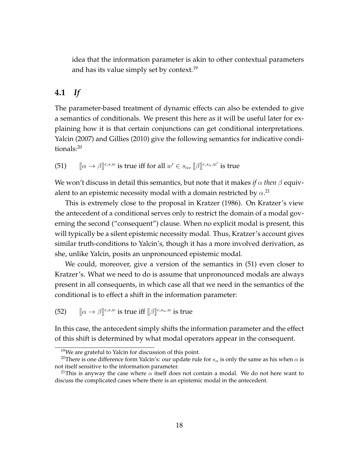idea that the information parameter is akin to other contextual parameters and has its value simply set by context.<sup>19</sup>

## **4.1** *If*

The parameter-based treatment of dynamic effects can also be extended to give a semantics of conditionals. We present this here as it will be useful later for explaining how it is that certain conjunctions can get conditional interpretations. Yalcin (2007) and Gillies (2010) give the following semantics for indicative conditionals:<sup>20</sup>

(51)  $\left[\![\alpha\to\beta]\!]^{c,s,w}$  is true iff for all  $w'\in s_\alpha$ ,  $\left[\![\beta]\!]^{c,s_\alpha,w'}$  is true

We won't discuss in detail this semantics, but note that it makes *if*  $\alpha$  *then*  $\beta$  equivalent to an epistemic necessity modal with a domain restricted by  $\alpha^{.21}$ 

This is extremely close to the proposal in Kratzer (1986). On Kratzer's view the antecedent of a conditional serves only to restrict the domain of a modal governing the second ("consequent") clause. When no explicit modal is present, this will typically be a silent epistemic necessity modal. Thus, Kratzer's account gives similar truth-conditions to Yalcin's, though it has a more involved derivation, as she, unlike Yalcin, posits an unpronounced epistemic modal.

We could, moreover, give a version of the semantics in (51) even closer to Kratzer's. What we need to do is assume that unpronounced modals are always present in all consequents, in which case all that we need in the semantics of the conditional is to effect a shift in the information parameter:

(52)  $\left[\alpha \to \beta\right] \infty^{c,s,w}$  is true iff  $\left[\beta\right] \infty^{c,s_\alpha,w}$  is true

In this case, the antecedent simply shifts the information parameter and the effect of this shift is determined by what modal operators appear in the consequent.

<sup>&</sup>lt;sup>19</sup>We are grateful to Yalcin for discussion of this point.

<sup>&</sup>lt;sup>20</sup>There is one difference form Yalcin's: our update rule for  $s_\alpha$  is only the same as his when  $\alpha$  is not itself sensitive to the information parameter.

<sup>&</sup>lt;sup>21</sup>This is anyway the case where  $\alpha$  itself does not contain a modal. We do not here want to discuss the complicated cases where there is an epistemic modal in the antecedent.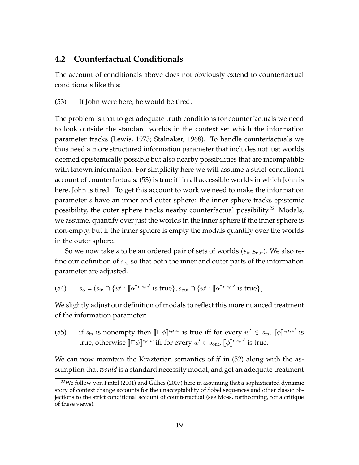### **4.2 Counterfactual Conditionals**

The account of conditionals above does not obviously extend to counterfactual conditionals like this:

(53) If John were here, he would be tired.

The problem is that to get adequate truth conditions for counterfactuals we need to look outside the standard worlds in the context set which the information parameter tracks (Lewis, 1973; Stalnaker, 1968). To handle counterfactuals we thus need a more structured information parameter that includes not just worlds deemed epistemically possible but also nearby possibilities that are incompatible with known information. For simplicity here we will assume a strict-conditional account of counterfactuals: (53) is true iff in all accessible worlds in which John is here, John is tired . To get this account to work we need to make the information parameter s have an inner and outer sphere: the inner sphere tracks epistemic possibility, the outer sphere tracks nearby counterfactual possibility.<sup>22</sup> Modals, we assume, quantify over just the worlds in the inner sphere if the inner sphere is non-empty, but if the inner sphere is empty the modals quantify over the worlds in the outer sphere.

So we now take s to be an ordered pair of sets of worlds  $(s_{in}, s_{out})$ . We also refine our definition of  $s_{\alpha}$ , so that both the inner and outer parts of the information parameter are adjusted.

(54)  $s_{\alpha} = (s_{\text{in}} \cap \{w' : [\![\alpha]\!]^{c,s,w'} \text{ is true}\}, s_{\text{out}} \cap \{w' : [\![\alpha]\!]^{c,s,w'} \text{ is true}\})$ 

We slightly adjust our definition of modals to reflect this more nuanced treatment of the information parameter:

(55) if  $s_{\text{in}}$  is nonempty then  $[\Box \phi]^{c,s,w}$  is true iff for every  $w' \in s_{\text{in}}$ ,  $[\![\phi]\!]^{c,s,w'}$  is true, otherwise  $[\![\Box \phi]\!]^{c,s,w}$  iff for every  $w' \in s_{\text{out}}$ ,  $[\![\phi]\!]^{c,s,w'}$  is true.

We can now maintain the Krazterian semantics of *if* in (52) along with the assumption that *would* is a standard necessity modal, and get an adequate treatment

 $22$ We follow von Fintel (2001) and Gillies (2007) here in assuming that a sophisticated dynamic story of context change accounts for the unacceptability of Sobel sequences and other classic objections to the strict conditional account of counterfactual (see Moss, forthcoming, for a critique of these views).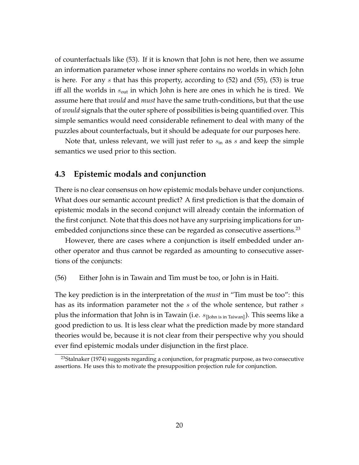of counterfactuals like (53). If it is known that John is not here, then we assume an information parameter whose inner sphere contains no worlds in which John is here. For any s that has this property, according to (52) and (55), (53) is true iff all the worlds in  $s_{\text{out}}$  in which John is here are ones in which he is tired. We assume here that *would* and *must* have the same truth-conditions, but that the use of *would* signals that the outer sphere of possibilities is being quantified over. This simple semantics would need considerable refinement to deal with many of the puzzles about counterfactuals, but it should be adequate for our purposes here.

Note that, unless relevant, we will just refer to  $s_{\rm in}$  as s and keep the simple semantics we used prior to this section.

### **4.3 Epistemic modals and conjunction**

There is no clear consensus on how epistemic modals behave under conjunctions. What does our semantic account predict? A first prediction is that the domain of epistemic modals in the second conjunct will already contain the information of the first conjunct. Note that this does not have any surprising implications for unembedded conjunctions since these can be regarded as consecutive assertions.<sup>23</sup>

However, there are cases where a conjunction is itself embedded under another operator and thus cannot be regarded as amounting to consecutive assertions of the conjuncts:

(56) Either John is in Tawain and Tim must be too, or John is in Haiti.

The key prediction is in the interpretation of the *must* in "Tim must be too": this has as its information parameter not the s of the whole sentence, but rather s plus the information that John is in Tawain (i.e.  $s_{\text{[John is in Taiwan]}}$ ). This seems like a good prediction to us. It is less clear what the prediction made by more standard theories would be, because it is not clear from their perspective why you should ever find epistemic modals under disjunction in the first place.

 $23$ Stalnaker (1974) suggests regarding a conjunction, for pragmatic purpose, as two consecutive assertions. He uses this to motivate the presupposition projection rule for conjunction.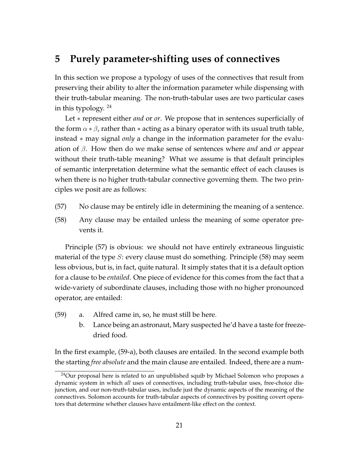# **5 Purely parameter-shifting uses of connectives**

In this section we propose a typology of uses of the connectives that result from preserving their ability to alter the information parameter while dispensing with their truth-tabular meaning. The non-truth-tabular uses are two particular cases in this typology.  $24$ 

Let ∗ represent either *and* or *or*. We propose that in sentences superficially of the form  $\alpha * \beta$ , rather than  $*$  acting as a binary operator with its usual truth table, instead ∗ may signal *only* a change in the information parameter for the evaluation of β. How then do we make sense of sentences where *and* and *or* appear without their truth-table meaning? What we assume is that default principles of semantic interpretation determine what the semantic effect of each clauses is when there is no higher truth-tabular connective governing them. The two principles we posit are as follows:

- (57) No clause may be entirely idle in determining the meaning of a sentence.
- (58) Any clause may be entailed unless the meaning of some operator prevents it.

Principle (57) is obvious: we should not have entirely extraneous linguistic material of the type  $S$ : every clause must do something. Principle (58) may seem less obvious, but is, in fact, quite natural. It simply states that it is a default option for a clause to be *entailed*. One piece of evidence for this comes from the fact that a wide-variety of subordinate clauses, including those with no higher pronounced operator, are entailed:

- (59) a. Alfred came in, so, he must still be here.
	- b. Lance being an astronaut, Mary suspected he'd have a taste for freezedried food.

In the first example, (59-a), both clauses are entailed. In the second example both the starting *free absolute* and the main clause are entailed. Indeed, there are a num-

 $24$ Our proposal here is related to an unpublished squib by Michael Solomon who proposes a dynamic system in which *all* uses of connectives, including truth-tabular uses, free-choice disjunction, and our non-truth-tabular uses, include just the dynamic aspects of the meaning of the connectives. Solomon accounts for truth-tabular aspects of connectives by positing covert operators that determine whether clauses have entailment-like effect on the context.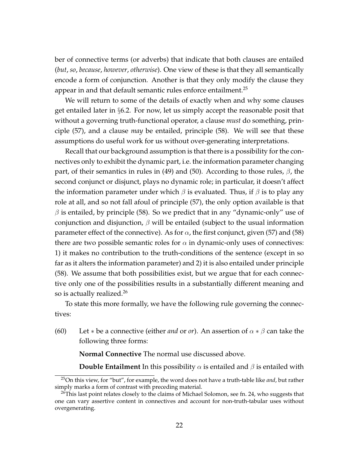ber of connective terms (or adverbs) that indicate that both clauses are entailed (*but*, *so*, *because*, *however*, *otherwise*). One view of these is that they all semantically encode a form of conjunction. Another is that they only modify the clause they appear in and that default semantic rules enforce entailment.<sup>25</sup>

We will return to some of the details of exactly when and why some clauses get entailed later in §6.2. For now, let us simply accept the reasonable posit that without a governing truth-functional operator, a clause *must* do something, principle (57), and a clause *may* be entailed, principle (58). We will see that these assumptions do useful work for us without over-generating interpretations.

Recall that our background assumption is that there is a possibility for the connectives only to exhibit the dynamic part, i.e. the information parameter changing part, of their semantics in rules in (49) and (50). According to those rules,  $\beta$ , the second conjunct or disjunct, plays no dynamic role; in particular, it doesn't affect the information parameter under which  $\beta$  is evaluated. Thus, if  $\beta$  is to play any role at all, and so not fall afoul of principle (57), the only option available is that  $\beta$  is entailed, by principle (58). So we predict that in any "dynamic-only" use of conjunction and disjunction,  $\beta$  will be entailed (subject to the usual information parameter effect of the connective). As for  $\alpha$ , the first conjunct, given (57) and (58) there are two possible semantic roles for  $\alpha$  in dynamic-only uses of connectives: 1) it makes no contribution to the truth-conditions of the sentence (except in so far as it alters the information parameter) and 2) it is also entailed under principle (58). We assume that both possibilities exist, but we argue that for each connective only one of the possibilities results in a substantially different meaning and so is actually realized.<sup>26</sup>

To state this more formally, we have the following rule governing the connectives:

(60) Let  $*$  be a connective (either *and* or *or*). An assertion of  $\alpha * \beta$  can take the following three forms:

**Normal Connective** The normal use discussed above.

**Double Entailment** In this possibility  $\alpha$  is entailed and  $\beta$  is entailed with

<sup>25</sup>On this view, for "but", for example, the word does not have a truth-table like *and*, but rather simply marks a form of contrast with preceding material.

 $^{26}$ This last point relates closely to the claims of Michael Solomon, see fn. 24, who suggests that one can vary assertive content in connectives and account for non-truth-tabular uses without overgenerating.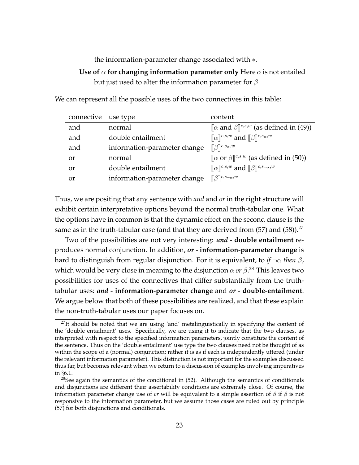#### the information-parameter change associated with ∗.

### **Use of**  $\alpha$  for changing information parameter only Here  $\alpha$  is not entailed but just used to alter the information parameter for  $\beta$

We can represent all the possible uses of the two connectives in this table:

| connective use type |                              | content                                                                                        |
|---------------------|------------------------------|------------------------------------------------------------------------------------------------|
| and                 | normal                       | $\left[\alpha \text{ and } \beta\right]^{c,s,w}$ (as defined in (49))                          |
| and                 | double entailment            | $\ \alpha\ ^{c,s,w}$ and $\ \beta\ ^{c,s_\alpha,w}$                                            |
| and                 | information-parameter change | $\llbracket \beta \rrbracket^{c,s_{\alpha},w}$                                                 |
| or                  | normal                       | $\left[\alpha \text{ or } \beta\right]^{c,s,w}$ (as defined in (50))                           |
| or                  | double entailment            | $\llbracket \alpha \rrbracket^{c,s,w}$ and $\llbracket \beta \rrbracket^{c,s_{\neg \alpha},w}$ |
| or                  | information-parameter change | $\ \beta\ ^{c,s_{\neg\alpha},w}$                                                               |
|                     |                              |                                                                                                |

Thus, we are positing that any sentence with *and* and *or* in the right structure will exhibit certain interpretative options beyond the normal truth-tabular one. What the options have in common is that the dynamic effect on the second clause is the same as in the truth-tabular case (and that they are derived from  $(57)$  and  $(58)$ ).<sup>27</sup>

Two of the possibilities are not very interesting: *and* **- double entailment** reproduces normal conjunction. In addition, *or* **- information-parameter change** is hard to distinguish from regular disjunction. For it is equivalent, to *if* ¬α *then* β, which would be very close in meaning to the disjunction  $\alpha$  *or*  $\beta$ *.* $^{28}$  This leaves two possibilities for uses of the connectives that differ substantially from the truthtabular uses: *and* **- information-parameter change** and *or* **- double-entailment**. We argue below that both of these possibilities are realized, and that these explain the non-truth-tabular uses our paper focuses on.

 $27$ It should be noted that we are using 'and' metalinguistically in specifying the content of the 'double entailment' uses. Specifically, we are using it to indicate that the two clauses, as interpreted with respect to the specified information parameters, jointly constitute the content of the sentence. Thus on the 'double entailment' use type the two clauses need not be thought of as within the scope of a (normal) conjunction; rather it is as if each is independently uttered (under the relevant information parameter). This distinction is not important for the examples discussed thus far, but becomes relevant when we return to a discussion of examples involving imperatives in §6.1.

<sup>&</sup>lt;sup>28</sup>See again the semantics of the conditional in  $(52)$ . Although the semantics of conditionals and disjunctions are different their assertability conditions are extremely close. Of course, the information parameter change use of *or* will be equivalent to a simple assertion of  $\beta$  if  $\beta$  is not responsive to the information parameter, but we assume those cases are ruled out by principle (57) for both disjunctions and conditionals.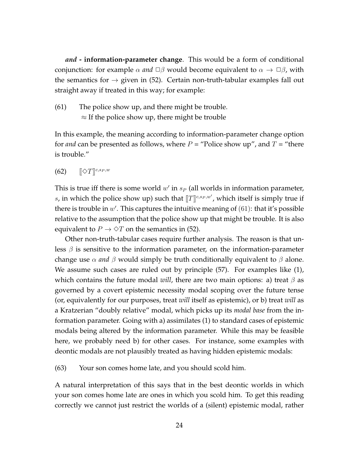*and* **- information-parameter change**. This would be a form of conditional conjunction: for example  $\alpha$  *and*  $\Box \beta$  would become equivalent to  $\alpha \rightarrow \Box \beta$ , with the semantics for  $\rightarrow$  given in (52). Certain non-truth-tabular examples fall out straight away if treated in this way; for example:

(61) The police show up, and there might be trouble.  $\approx$  If the police show up, there might be trouble

In this example, the meaning according to information-parameter change option for *and* can be presented as follows, where  $P =$  "Police show up", and  $T =$  "there is trouble."

(62)  $[\] \Diamond T \]^{c,s_P,w}$ 

This is true iff there is some world  $w'$  in  $s_P$  (all worlds in information parameter, s, in which the police show up) such that  $[[T]]^{c,s_P,w'}$ , which itself is simply true if there is trouble in  $w'$ . This captures the intuitive meaning of  $(61)$ : that it's possible relative to the assumption that the police show up that might be trouble. It is also equivalent to  $P \to \Diamond T$  on the semantics in (52).

Other non-truth-tabular cases require further analysis. The reason is that unless  $\beta$  is sensitive to the information parameter, on the information-parameter change use  $\alpha$  *and*  $\beta$  would simply be truth conditionally equivalent to  $\beta$  alone. We assume such cases are ruled out by principle (57). For examples like (1), which contains the future modal *will*, there are two main options: a) treat  $\beta$  as governed by a covert epistemic necessity modal scoping over the future tense (or, equivalently for our purposes, treat *will* itself as epistemic), or b) treat *will* as a Kratzerian "doubly relative" modal, which picks up its *modal base* from the information parameter. Going with a) assimilates (1) to standard cases of epistemic modals being altered by the information parameter. While this may be feasible here, we probably need b) for other cases. For instance, some examples with deontic modals are not plausibly treated as having hidden epistemic modals:

(63) Your son comes home late, and you should scold him.

A natural interpretation of this says that in the best deontic worlds in which your son comes home late are ones in which you scold him. To get this reading correctly we cannot just restrict the worlds of a (silent) epistemic modal, rather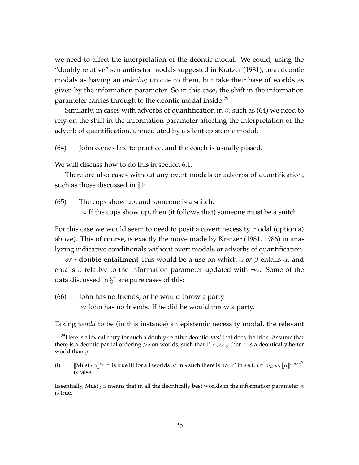we need to affect the interpretation of the deontic modal. We could, using the "doubly relative" semantics for modals suggested in Kratzer (1981), treat deontic modals as having an *ordering* unique to them, but take their base of worlds as given by the information parameter. So in this case, the shift in the information parameter carries through to the deontic modal inside.<sup>29</sup>

Similarly, in cases with adverbs of quantification in  $\beta$ , such as (64) we need to rely on the shift in the information parameter affecting the interpretation of the adverb of quantification, unmediated by a silent epistemic modal.

(64) John comes late to practice, and the coach is usually pissed.

We will discuss how to do this in section 6.1.

There are also cases without any overt modals or adverbs of quantification, such as those discussed in §1:

(65) The cops show up, and someone is a snitch.

 $\approx$  If the cops show up, then (it follows that) someone must be a snitch

For this case we would seem to need to posit a covert necessity modal (option a) above). This of course, is exactly the move made by Kratzer (1981, 1986) in analyzing indicative conditionals without overt modals or adverbs of quantification.

*or* **- double entailment** This would be a use on which α *or* β entails α, and entails  $\beta$  relative to the information parameter updated with  $\neg \alpha$ . Some of the data discussed in §1 are pure cases of this:

(66) John has no friends, or he would throw a party  $\approx$  John has no friends. If he did he would throw a party.

Taking *would* to be (in this instance) an epistemic necessity modal, the relevant

<sup>29</sup>Here is a lexical entry for such a doubly-relative deontic *must* that does the trick. Assume that there is a deontic partial ordering  $>a$  on worlds, such that if  $x > d$  y then x is a deontically better world than  $y$ :

<sup>(</sup>i)  $\qquad \qquad [\text{Must}_d \ \alpha]^{c,s,w}$  is true iff for all worlds  $w'$  in s such there is no  $w''$  in s s.t.  $w'' >_d w$ ,  $[\![\alpha]\!]^{c,s,w''}$ is false.

Essentially, Must<sub>d</sub>  $\alpha$  means that in all the deontically best worlds in the information parameter  $\alpha$ is true.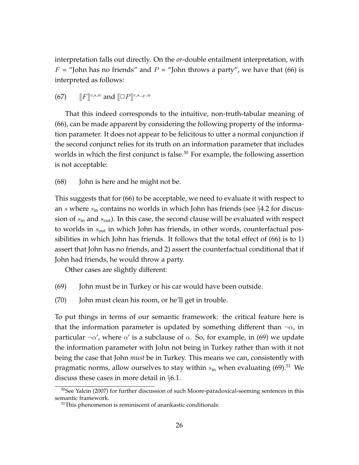interpretation falls out directly. On the *or*-double entailment interpretation, with  $F =$  "John has no friends" and  $P =$  "John throws a party", we have that (66) is interpreted as follows:

(67)  $\|F\|^{c,s,w}$  and  $\|\Box P\|^{c,s_{\neg F},w}$ 

That this indeed corresponds to the intuitive, non-truth-tabular meaning of (66), can be made apparent by considering the following property of the information parameter. It does not appear to be felicitous to utter a normal conjunction if the second conjunct relies for its truth on an information parameter that includes worlds in which the first conjunct is false. $30$  For example, the following assertion is not acceptable:

#### (68) John is here and he might not be.

This suggests that for (66) to be acceptable, we need to evaluate it with respect to an s where  $s_{\rm in}$  contains no worlds in which John has friends (see  $\S 4.2$  for discussion of  $s_{\text{in}}$  and  $s_{\text{out}}$ ). In this case, the second clause will be evaluated with respect to worlds in  $s_{\text{out}}$  in which John has friends, in other words, counterfactual possibilities in which John has friends. It follows that the total effect of (66) is to 1) assert that John has no friends, and 2) assert the counterfactual conditional that if John had friends, he would throw a party.

Other cases are slightly different:

- (69) John must be in Turkey or his car would have been outside.
- (70) John must clean his room, or he'll get in trouble.

To put things in terms of our semantic framework: the critical feature here is that the information parameter is updated by something different than  $\neg \alpha$ , in particular  $\neg \alpha'$ , where  $\alpha'$  is a subclause of  $\alpha$ . So, for example, in (69) we update the information parameter with John not being in Turkey rather than with it not being the case that John *must* be in Turkey. This means we can, consistently with pragmatic norms, allow ourselves to stay within  $s_{\text{in}}$  when evaluating (69).<sup>31</sup> We discuss these cases in more detail in §6.1.

 $30$ See Yalcin (2007) for further discussion of such Moore-paradoxical-seeming sentences in this semantic framework.

 $31$ This phenomenon is reminiscent of anankastic conditionals: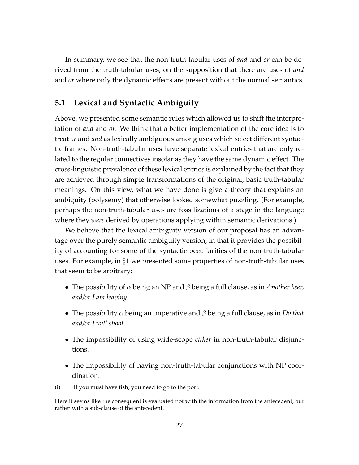In summary, we see that the non-truth-tabular uses of *and* and *or* can be derived from the truth-tabular uses, on the supposition that there are uses of *and* and *or* where only the dynamic effects are present without the normal semantics.

### **5.1 Lexical and Syntactic Ambiguity**

Above, we presented some semantic rules which allowed us to shift the interpretation of *and* and *or*. We think that a better implementation of the core idea is to treat *or* and *and* as lexically ambiguous among uses which select different syntactic frames. Non-truth-tabular uses have separate lexical entries that are only related to the regular connectives insofar as they have the same dynamic effect. The cross-linguistic prevalence of these lexical entries is explained by the fact that they are achieved through simple transformations of the original, basic truth-tabular meanings. On this view, what we have done is give a theory that explains an ambiguity (polysemy) that otherwise looked somewhat puzzling. (For example, perhaps the non-truth-tabular uses are fossilizations of a stage in the language where they *were* derived by operations applying within semantic derivations.)

We believe that the lexical ambiguity version of our proposal has an advantage over the purely semantic ambiguity version, in that it provides the possibility of accounting for some of the syntactic peculiarities of the non-truth-tabular uses. For example, in §1 we presented some properties of non-truth-tabular uses that seem to be arbitrary:

- The possibility of α being an NP and β being a full clause, as in *Another beer, and/or I am leaving*.
- The possibility  $\alpha$  being an imperative and  $\beta$  being a full clause, as in *Do that and/or I will shoot*.
- The impossibility of using wide-scope *either* in non-truth-tabular disjunctions.
- The impossibility of having non-truth-tabular conjunctions with NP coordination.

<sup>(</sup>i) If you must have fish, you need to go to the port.

Here it seems like the consequent is evaluated not with the information from the antecedent, but rather with a sub-clause of the antecedent.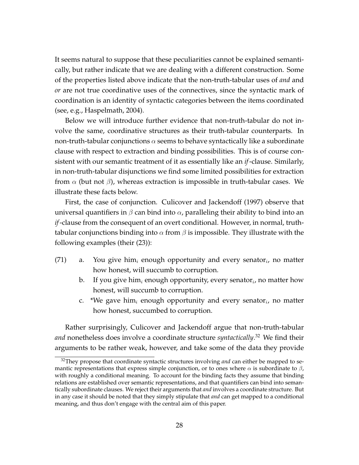It seems natural to suppose that these peculiarities cannot be explained semantically, but rather indicate that we are dealing with a different construction. Some of the properties listed above indicate that the non-truth-tabular uses of *and* and *or* are not true coordinative uses of the connectives, since the syntactic mark of coordination is an identity of syntactic categories between the items coordinated (see, e.g., Haspelmath, 2004).

Below we will introduce further evidence that non-truth-tabular do not involve the same, coordinative structures as their truth-tabular counterparts. In non-truth-tabular conjunctions  $\alpha$  seems to behave syntactically like a subordinate clause with respect to extraction and binding possibilities. This is of course consistent with our semantic treatment of it as essentially like an *if*-clause. Similarly, in non-truth-tabular disjunctions we find some limited possibilities for extraction from  $\alpha$  (but not  $\beta$ ), whereas extraction is impossible in truth-tabular cases. We illustrate these facts below.

First, the case of conjunction. Culicover and Jackendoff (1997) observe that universal quantifiers in  $\beta$  can bind into  $\alpha$ , paralleling their ability to bind into an *if*-clause from the consequent of an overt conditional. However, in normal, truthtabular conjunctions binding into  $\alpha$  from  $\beta$  is impossible. They illustrate with the following examples (their (23)):

- (71) a. You give him<sub>i</sub> enough opportunity and every senator<sub>i</sub>, no matter how honest, will succumb to corruption.
	- b. If you give him $_i$  enough opportunity, every senator $_i$ , no matter how honest, will succumb to corruption.
	- c.  $\,$  \*We gave him $_{i}$  enough opportunity and every senator $_{i}$ , no matter how honest, succumbed to corruption.

Rather surprisingly, Culicover and Jackendoff argue that non-truth-tabular *and* nonetheless does involve a coordinate structure *syntactically*. <sup>32</sup> We find their arguments to be rather weak, however, and take some of the data they provide

<sup>&</sup>lt;sup>32</sup>They propose that coordinate syntactic structures involving *and* can either be mapped to semantic representations that express simple conjunction, or to ones where  $\alpha$  is subordinate to  $\beta$ , with roughly a conditional meaning. To account for the binding facts they assume that binding relations are established over semantic representations, and that quantifiers can bind into semantically subordinate clauses. We reject their arguments that *and* involves a coordinate structure. But in any case it should be noted that they simply stipulate that *and* can get mapped to a conditional meaning, and thus don't engage with the central aim of this paper.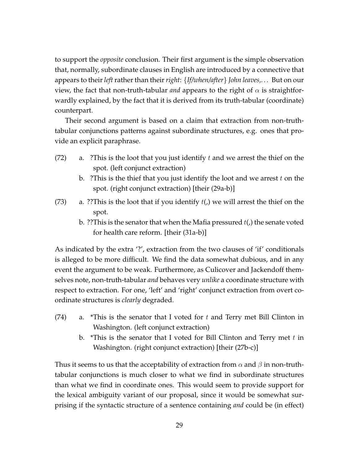to support the *opposite* conclusion. Their first argument is the simple observation that, normally, subordinate clauses in English are introduced by a connective that appears to their*left*rather than their*right*: {*If/when/after*} *John leaves,. . .* But on our view, the fact that non-truth-tabular *and* appears to the right of  $\alpha$  is straightforwardly explained, by the fact that it is derived from its truth-tabular (coordinate) counterpart.

Their second argument is based on a claim that extraction from non-truthtabular conjunctions patterns against subordinate structures, e.g. ones that provide an explicit paraphrase.

- (72) a. ?This is the loot that you just identify t and we arrest the thief on the spot. (left conjunct extraction)
	- b. ? This is the thief that you just identify the loot and we arrest  $t$  on the spot. (right conjunct extraction) [their (29a-b)]
- (73) a. ??This is the loot that if you identify  $t()$  we will arrest the thief on the spot.
	- b. ??This is the senator that when the Mafia pressured  $t()$  the senate voted for health care reform. [their (31a-b)]

As indicated by the extra '?', extraction from the two clauses of 'if' conditionals is alleged to be more difficult. We find the data somewhat dubious, and in any event the argument to be weak. Furthermore, as Culicover and Jackendoff themselves note, non-truth-tabular *and* behaves very *unlike* a coordinate structure with respect to extraction. For one, 'left' and 'right' conjunct extraction from overt coordinate structures is *clearly* degraded.

- (74) a. \*This is the senator that I voted for  $t$  and Terry met Bill Clinton in Washington. (left conjunct extraction)
	- b. \*This is the senator that I voted for Bill Clinton and Terry met  $t$  in Washington. (right conjunct extraction) [their (27b-c)]

Thus it seems to us that the acceptability of extraction from  $\alpha$  and  $\beta$  in non-truthtabular conjunctions is much closer to what we find in subordinate structures than what we find in coordinate ones. This would seem to provide support for the lexical ambiguity variant of our proposal, since it would be somewhat surprising if the syntactic structure of a sentence containing *and* could be (in effect)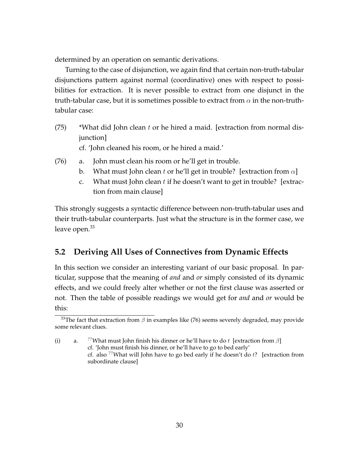determined by an operation on semantic derivations.

Turning to the case of disjunction, we again find that certain non-truth-tabular disjunctions pattern against normal (coordinative) ones with respect to possibilities for extraction. It is never possible to extract from one disjunct in the truth-tabular case, but it is sometimes possible to extract from  $\alpha$  in the non-truthtabular case:

- $(75)$  \*What did John clean t or he hired a maid. [extraction from normal disjunction] cf. 'John cleaned his room, or he hired a maid.'
- (76) a. John must clean his room or he'll get in trouble.
	- b. What must John clean t or he'll get in trouble? [extraction from  $\alpha$ ]
	- c. What must John clean  $t$  if he doesn't want to get in trouble? [extraction from main clause]

This strongly suggests a syntactic difference between non-truth-tabular uses and their truth-tabular counterparts. Just what the structure is in the former case, we leave open.<sup>33</sup>

### **5.2 Deriving All Uses of Connectives from Dynamic Effects**

In this section we consider an interesting variant of our basic proposal. In particular, suppose that the meaning of *and* and *or* simply consisted of its dynamic effects, and we could freely alter whether or not the first clause was asserted or not. Then the table of possible readings we would get for *and* and *or* would be this:

<sup>&</sup>lt;sup>33</sup>The fact that extraction from  $\beta$  in examples like (76) seems severely degraded, may provide some relevant clues.

<sup>(</sup>i) a. <sup>??</sup>What must John finish his dinner or he'll have to do t [extraction from  $\beta$ ] cf. 'John must finish his dinner, or he'll have to go to bed early' cf. also <sup>??</sup>What will John have to go bed early if he doesn't do  $t$ ? [extraction from subordinate clause]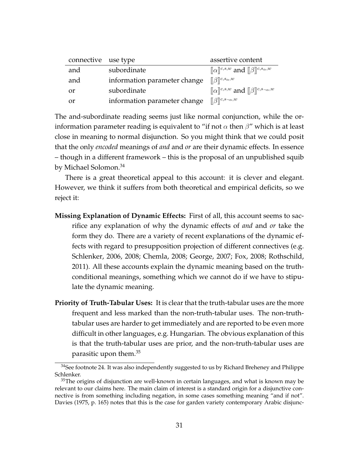| connective use type |                              | assertive content                                                                       |
|---------------------|------------------------------|-----------------------------------------------------------------------------------------|
| and                 | subordinate                  | $\llbracket \alpha \rrbracket^{c,s,w}$ and $\llbracket \beta \rrbracket^{c,s_\alpha,w}$ |
| and                 | information parameter change | $\llbracket \beta \rrbracket^{c,s_\alpha,w}$                                            |
| or                  | subordinate                  | $\ \alpha\ ^{c,s,w}$ and $\ \beta\ ^{c,s_{\neg\alpha},w}$                               |
| or                  | information parameter change | $\ \beta\ ^{c,s_{\neg\alpha},w}$                                                        |

The and-subordinate reading seems just like normal conjunction, while the orinformation parameter reading is equivalent to "if not  $\alpha$  then  $\beta$ " which is at least close in meaning to normal disjunction. So you might think that we could posit that the only *encoded* meanings of *and* and *or* are their dynamic effects. In essence – though in a different framework – this is the proposal of an unpublished squib by Michael Solomon.<sup>34</sup>

There is a great theoretical appeal to this account: it is clever and elegant. However, we think it suffers from both theoretical and empirical deficits, so we reject it:

- **Missing Explanation of Dynamic Effects:** First of all, this account seems to sacrifice any explanation of why the dynamic effects of *and* and *or* take the form they do. There are a variety of recent explanations of the dynamic effects with regard to presupposition projection of different connectives (e.g. Schlenker, 2006, 2008; Chemla, 2008; George, 2007; Fox, 2008; Rothschild, 2011). All these accounts explain the dynamic meaning based on the truthconditional meanings, something which we cannot do if we have to stipulate the dynamic meaning.
- **Priority of Truth-Tabular Uses:** It is clear that the truth-tabular uses are the more frequent and less marked than the non-truth-tabular uses. The non-truthtabular uses are harder to get immediately and are reported to be even more difficult in other languages, e.g. Hungarian. The obvious explanation of this is that the truth-tabular uses are prior, and the non-truth-tabular uses are parasitic upon them.<sup>35</sup>

<sup>&</sup>lt;sup>34</sup>See footnote 24. It was also independently suggested to us by Richard Breheney and Philippe Schlenker.

 $35$ The origins of disjunction are well-known in certain languages, and what is known may be relevant to our claims here. The main claim of interest is a standard origin for a disjunctive connective is from something including negation, in some cases something meaning "and if not". Davies (1975, p. 165) notes that this is the case for garden variety contemporary Arabic disjunc-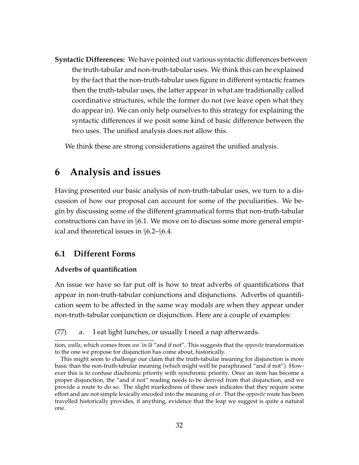**Syntactic Differences:** We have pointed out various syntactic differences between the truth-tabular and non-truth-tabular uses. We think this can be explained by the fact that the non-truth-tabular uses figure in different syntactic frames then the truth-tabular uses, the latter appear in what are traditionally called coordinative structures, while the former do not (we leave open what they do appear in). We can only help ourselves to this strategy for explaining the syntactic differences if we posit some kind of basic difference between the two uses. The unified analysis does not allow this.

We think these are strong considerations against the unified analysis.

# **6 Analysis and issues**

Having presented our basic analysis of non-truth-tabular uses, we turn to a discussion of how our proposal can account for some of the peculiarities. We begin by discussing some of the different grammatical forms that non-truth-tabular constructions can have in §6.1. We move on to discuss some more general empirical and theoretical issues in §6.2–§6.4.

### **6.1 Different Forms**

#### **Adverbs of quantification**

An issue we have so far put off is how to treat adverbs of quantifications that appear in non-truth-tabular conjunctions and disjunctions. Adverbs of quantification seem to be affected in the same way modals are when they appear under non-truth-tabular conjunction or disjunction. Here are a couple of examples:

(77) a. I eat light lunches, or usually I need a nap afterwards.

tion, *walla*, which comes from *wa'in lā* "and if not". This suggests that the *opposite* transformation to the one we propose for disjunction has come about, historically.

This might seem to challenge our claim that the truth-tabular meaning for disjunction is more basic than the non-truth-tabular meaning (which might well be paraphrased "and if not"). However this is to confuse diachronic priority with synchronic priority. Once an item has become a proper disjunction, the "and if not" reading needs to be derived from that disjunction, and we provide a route to do so. The slight markedness of these uses indicates that they require some effort and are not simple lexically encoded into the meaning of *or*. That the *opposite* route has been travelled historically provides, if anything, evidence that the leap we suggest is quite a natural one.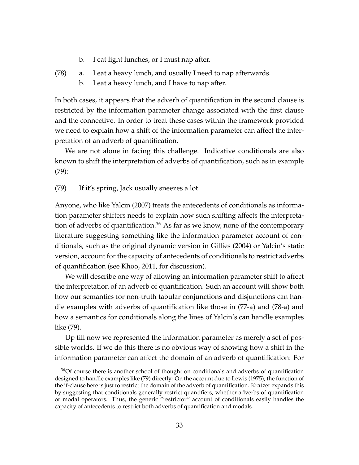- b. I eat light lunches, or I must nap after.
- (78) a. I eat a heavy lunch, and usually I need to nap afterwards.
	- b. I eat a heavy lunch, and I have to nap after.

In both cases, it appears that the adverb of quantification in the second clause is restricted by the information parameter change associated with the first clause and the connective. In order to treat these cases within the framework provided we need to explain how a shift of the information parameter can affect the interpretation of an adverb of quantification.

We are not alone in facing this challenge. Indicative conditionals are also known to shift the interpretation of adverbs of quantification, such as in example (79):

(79) If it's spring, Jack usually sneezes a lot.

Anyone, who like Yalcin (2007) treats the antecedents of conditionals as information parameter shifters needs to explain how such shifting affects the interpretation of adverbs of quantification.<sup>36</sup> As far as we know, none of the contemporary literature suggesting something like the information parameter account of conditionals, such as the original dynamic version in Gillies (2004) or Yalcin's static version, account for the capacity of antecedents of conditionals to restrict adverbs of quantification (see Khoo, 2011, for discussion).

We will describe one way of allowing an information parameter shift to affect the interpretation of an adverb of quantification. Such an account will show both how our semantics for non-truth tabular conjunctions and disjunctions can handle examples with adverbs of quantification like those in (77-a) and (78-a) and how a semantics for conditionals along the lines of Yalcin's can handle examples like (79).

Up till now we represented the information parameter as merely a set of possible worlds. If we do this there is no obvious way of showing how a shift in the information parameter can affect the domain of an adverb of quantification: For

 $36$ Of course there is another school of thought on conditionals and adverbs of quantification designed to handle examples like (79) directly: On the account due to Lewis (1975), the function of the if-clause here is just to restrict the domain of the adverb of quantification. Kratzer expands this by suggesting that conditionals generally restrict quantifiers, whether adverbs of quantification or modal operators. Thus, the generic "restrictor" account of conditionals easily handles the capacity of antecedents to restrict both adverbs of quantification and modals.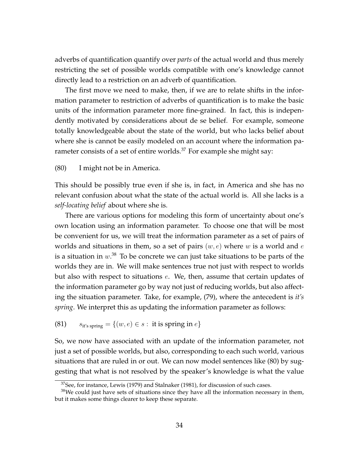adverbs of quantification quantify over *parts* of the actual world and thus merely restricting the set of possible worlds compatible with one's knowledge cannot directly lead to a restriction on an adverb of quantification.

The first move we need to make, then, if we are to relate shifts in the information parameter to restriction of adverbs of quantification is to make the basic units of the information parameter more fine-grained. In fact, this is independently motivated by considerations about de se belief. For example, someone totally knowledgeable about the state of the world, but who lacks belief about where she is cannot be easily modeled on an account where the information parameter consists of a set of entire worlds.<sup>37</sup> For example she might say:

#### (80) I might not be in America.

This should be possibly true even if she is, in fact, in America and she has no relevant confusion about what the state of the actual world is. All she lacks is a *self-locating belief* about where she is.

There are various options for modeling this form of uncertainty about one's own location using an information parameter. To choose one that will be most be convenient for us, we will treat the information parameter as a set of pairs of worlds and situations in them, so a set of pairs  $(w, e)$  where w is a world and e is a situation in  $w.^{38}$  To be concrete we can just take situations to be parts of the worlds they are in. We will make sentences true not just with respect to worlds but also with respect to situations e. We, then, assume that certain updates of the information parameter go by way not just of reducing worlds, but also affecting the situation parameter. Take, for example, (79), where the antecedent is *it's spring*. We interpret this as updating the information parameter as follows:

(81)  $s_{it's spring} = \{(w, e) \in s : it is spring in e\}$ 

So, we now have associated with an update of the information parameter, not just a set of possible worlds, but also, corresponding to each such world, various situations that are ruled in or out. We can now model sentences like (80) by suggesting that what is not resolved by the speaker's knowledge is what the value

 $37$ See, for instance, Lewis (1979) and Stalnaker (1981), for discussion of such cases.

 $38$ We could just have sets of situations since they have all the information necessary in them, but it makes some things clearer to keep these separate.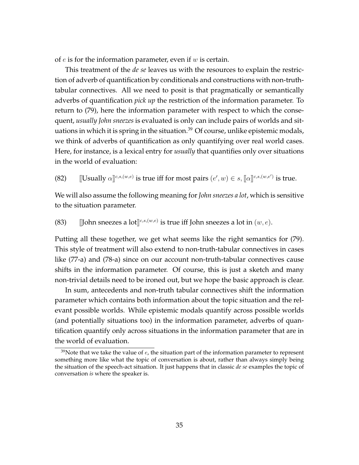of  $e$  is for the information parameter, even if  $w$  is certain.

This treatment of the *de se* leaves us with the resources to explain the restriction of adverb of quantification by conditionals and constructions with non-truthtabular connectives. All we need to posit is that pragmatically or semantically adverbs of quantification *pick up* the restriction of the information parameter. To return to (79), here the information parameter with respect to which the consequent, *usually John sneezes* is evaluated is only can include pairs of worlds and situations in which it is spring in the situation.<sup>39</sup> Of course, unlike epistemic modals, we think of adverbs of quantification as only quantifying over real world cases. Here, for instance, is a lexical entry for *usually* that quantifies only over situations in the world of evaluation:

(82)  $\left[\text{Usually } \alpha\right]^{c,s,(w,e)}$  is true iff for most pairs  $(e', w) \in s, \left[\!\left[ \alpha \right]\!\right]^{c,s,(w,e')}$  is true.

We will also assume the following meaning for*John sneezes a lot*, which is sensitive to the situation parameter.

(83) [John sneezes a lot $]^{c,s,(w,e)}$  is true iff John sneezes a lot in  $(w,e)$ .

Putting all these together, we get what seems like the right semantics for (79). This style of treatment will also extend to non-truth-tabular connectives in cases like (77-a) and (78-a) since on our account non-truth-tabular connectives cause shifts in the information parameter. Of course, this is just a sketch and many non-trivial details need to be ironed out, but we hope the basic approach is clear.

In sum, antecedents and non-truth tabular connectives shift the information parameter which contains both information about the topic situation and the relevant possible worlds. While epistemic modals quantify across possible worlds (and potentially situations too) in the information parameter, adverbs of quantification quantify only across situations in the information parameter that are in the world of evaluation.

 $39$ Note that we take the value of  $e$ , the situation part of the information parameter to represent something more like what the topic of conversation is about, rather than always simply being the situation of the speech-act situation. It just happens that in classic *de se* examples the topic of conversation *is* where the speaker is.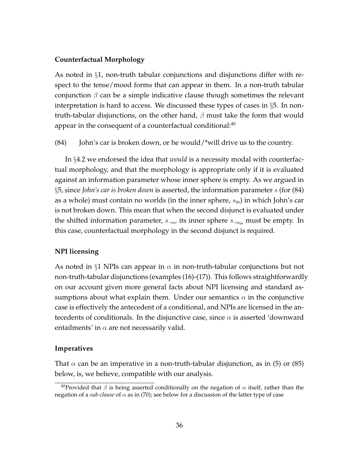#### **Counterfactual Morphology**

As noted in  $\S1$ , non-truth tabular conjunctions and disjunctions differ with respect to the tense/mood forms that can appear in them. In a non-truth tabular conjunction  $\beta$  can be a simple indicative clause though sometimes the relevant interpretation is hard to access. We discussed these types of cases in §5. In nontruth-tabular disjunctions, on the other hand,  $\beta$  must take the form that would appear in the consequent of a counterfactual conditional: $40$ 

 $(84)$  John's car is broken down, or he would/\*will drive us to the country.

In §4.2 we endorsed the idea that *would* is a necessity modal with counterfactual morphology, and that the morphology is appropriate only if it is evaluated against an information parameter whose inner sphere is empty. As we argued in §5, since *John's car is broken down* is asserted, the information parameter s (for (84) as a whole) must contain no worlds (in the inner sphere,  $s_{\rm in}$ ) in which John's car is not broken down. This mean that when the second disjunct is evaluated under the shifted information parameter,  $s_{\neg \alpha}$ , its inner sphere  $s_{\neg \alpha}$  must be empty. In this case, counterfactual morphology in the second disjunct is required.

### **NPI licensing**

As noted in §1 NPIs can appear in  $\alpha$  in non-truth-tabular conjunctions but not non-truth-tabular disjunctions (examples (16)-(17)). This follows straightforwardly on our account given more general facts about NPI licensing and standard assumptions about what explain them. Under our semantics  $\alpha$  in the conjunctive case is effectively the antecedent of a conditional, and NPIs are licensed in the antecedents of conditionals. In the disjunctive case, since  $\alpha$  is asserted 'downward entailments' in  $\alpha$  are not necessarily valid.

#### **Imperatives**

That  $\alpha$  can be an imperative in a non-truth-tabular disjunction, as in (5) or (85) below, is, we believe, compatible with our analysis.

<sup>&</sup>lt;sup>40</sup>Provided that  $β$  is being asserted conditionally on the negation of  $α$  itself, rather than the negation of a *sub-clause* of  $\alpha$  as in (70); see below for a discussion of the latter type of case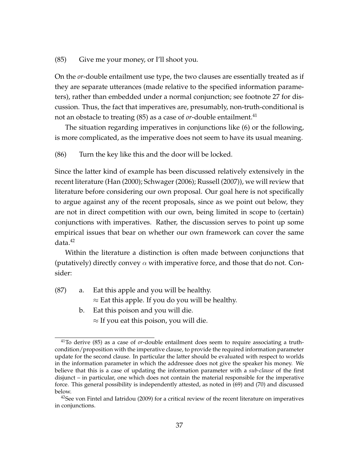#### (85) Give me your money, or I'll shoot you.

On the *or*-double entailment use type, the two clauses are essentially treated as if they are separate utterances (made relative to the specified information parameters), rather than embedded under a normal conjunction; see footnote 27 for discussion. Thus, the fact that imperatives are, presumably, non-truth-conditional is not an obstacle to treating  $(85)$  as a case of *or*-double entailment.<sup>41</sup>

The situation regarding imperatives in conjunctions like (6) or the following, is more complicated, as the imperative does not seem to have its usual meaning.

(86) Turn the key like this and the door will be locked.

Since the latter kind of example has been discussed relatively extensively in the recent literature (Han (2000); Schwager (2006); Russell (2007)), we will review that literature before considering our own proposal. Our goal here is not specifically to argue against any of the recent proposals, since as we point out below, they are not in direct competition with our own, being limited in scope to (certain) conjunctions with imperatives. Rather, the discussion serves to point up some empirical issues that bear on whether our own framework can cover the same data.<sup>42</sup>

Within the literature a distinction is often made between conjunctions that (putatively) directly convey  $\alpha$  with imperative force, and those that do not. Consider:

- (87) a. Eat this apple and you will be healthy.  $\approx$  Eat this apple. If you do you will be healthy.
	- b. Eat this poison and you will die.  $\approx$  If you eat this poison, you will die.

<sup>41</sup>To derive (85) as a case of *or*-double entailment does seem to require associating a truthcondition/proposition with the imperative clause, to provide the required information parameter update for the second clause. In particular the latter should be evaluated with respect to worlds in the information parameter in which the addressee does not give the speaker his money. We believe that this is a case of updating the information parameter with a *sub-clause* of the first disjunct – in particular, one which does not contain the material responsible for the imperative force. This general possibility is independently attested, as noted in (69) and (70) and discussed below.

<sup>&</sup>lt;sup>42</sup>See von Fintel and Iatridou (2009) for a critical review of the recent literature on imperatives in conjunctions.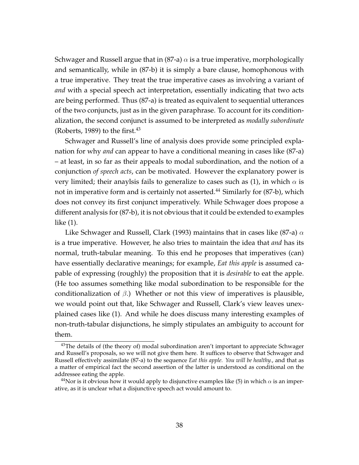Schwager and Russell argue that in (87-a)  $\alpha$  is a true imperative, morphologically and semantically, while in (87-b) it is simply a bare clause, homophonous with a true imperative. They treat the true imperative cases as involving a variant of *and* with a special speech act interpretation, essentially indicating that two acts are being performed. Thus (87-a) is treated as equivalent to sequential utterances of the two conjuncts, just as in the given paraphrase. To account for its conditionalization, the second conjunct is assumed to be interpreted as *modally subordinate* (Roberts, 1989) to the first. $43$ 

Schwager and Russell's line of analysis does provide some principled explanation for why *and* can appear to have a conditional meaning in cases like (87-a) – at least, in so far as their appeals to modal subordination, and the notion of a conjunction *of speech acts*, can be motivated. However the explanatory power is very limited; their anaylsis fails to generalize to cases such as (1), in which  $\alpha$  is not in imperative form and is certainly not asserted.<sup>44</sup> Similarly for (87-b), which does not convey its first conjunct imperatively. While Schwager does propose a different analysis for (87-b), it is not obvious that it could be extended to examples like (1).

Like Schwager and Russell, Clark (1993) maintains that in cases like (87-a)  $\alpha$ is a true imperative. However, he also tries to maintain the idea that *and* has its normal, truth-tabular meaning. To this end he proposes that imperatives (can) have essentially declarative meanings; for example, *Eat this apple* is assumed capable of expressing (roughly) the proposition that it is *desirable* to eat the apple. (He too assumes something like modal subordination to be responsible for the conditionalization of  $\beta$ .) Whether or not this view of imperatives is plausible, we would point out that, like Schwager and Russell, Clark's view leaves unexplained cases like (1). And while he does discuss many interesting examples of non-truth-tabular disjunctions, he simply stipulates an ambiguity to account for them.

<sup>&</sup>lt;sup>43</sup>The details of (the theory of) modal subordination aren't important to appreciate Schwager and Russell's proposals, so we will not give them here. It suffices to observe that Schwager and Russell effectively assimilate (87-a) to the sequence *Eat this apple. You will be healthy.*, and that as a matter of empirical fact the second assertion of the latter is understood as conditional on the addressee eating the apple.

<sup>&</sup>lt;sup>44</sup>Nor is it obvious how it would apply to disjunctive examples like (5) in which  $\alpha$  is an imperative, as it is unclear what a disjunctive speech act would amount to.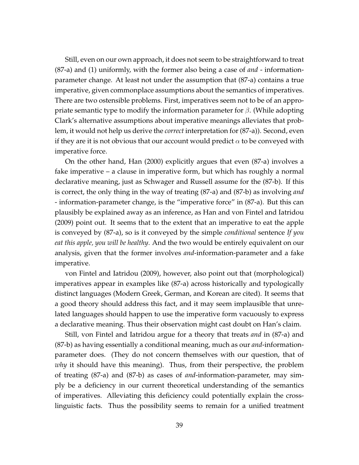Still, even on our own approach, it does not seem to be straightforward to treat (87-a) and (1) uniformly, with the former also being a case of *and* - informationparameter change. At least not under the assumption that (87-a) contains a true imperative, given commonplace assumptions about the semantics of imperatives. There are two ostensible problems. First, imperatives seem not to be of an appropriate semantic type to modify the information parameter for  $\beta$ . (While adopting Clark's alternative assumptions about imperative meanings alleviates that problem, it would not help us derive the *correct* interpretation for (87-a)). Second, even if they are it is not obvious that our account would predict  $\alpha$  to be conveyed with imperative force.

On the other hand, Han (2000) explicitly argues that even (87-a) involves a fake imperative – a clause in imperative form, but which has roughly a normal declarative meaning, just as Schwager and Russell assume for the (87-b). If this is correct, the only thing in the way of treating (87-a) and (87-b) as involving *and* - information-parameter change, is the "imperative force" in (87-a). But this can plausibly be explained away as an inference, as Han and von Fintel and Iatridou (2009) point out. It seems that to the extent that an imperative to eat the apple is conveyed by (87-a), so is it conveyed by the simple *conditional* sentence *If you eat this apple, you will be healthy*. And the two would be entirely equivalent on our analysis, given that the former involves *and*-information-parameter and a fake imperative.

von Fintel and Iatridou (2009), however, also point out that (morphological) imperatives appear in examples like (87-a) across historically and typologically distinct languages (Modern Greek, German, and Korean are cited). It seems that a good theory should address this fact, and it may seem implausible that unrelated languages should happen to use the imperative form vacuously to express a declarative meaning. Thus their observation might cast doubt on Han's claim.

Still, von Fintel and Iatridou argue for a theory that treats *and* in (87-a) and (87-b) as having essentially a conditional meaning, much as our *and*-informationparameter does. (They do not concern themselves with our question, that of *why* it should have this meaning). Thus, from their perspective, the problem of treating (87-a) and (87-b) as cases of *and*-information-parameter, may simply be a deficiency in our current theoretical understanding of the semantics of imperatives. Alleviating this deficiency could potentially explain the crosslinguistic facts. Thus the possibility seems to remain for a unified treatment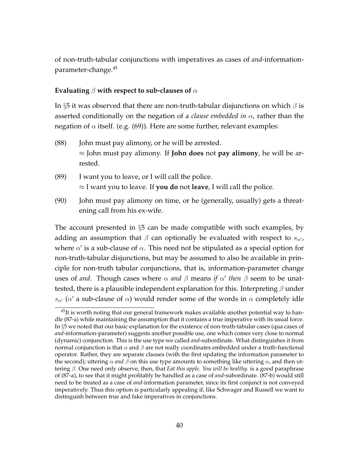of non-truth-tabular conjunctions with imperatives as cases of *and*-informationparameter-change.<sup>45</sup>

#### **Evaluating** β **with respect to sub-clauses of** α

In §5 it was observed that there are non-truth-tabular disjunctions on which  $\beta$  is asserted conditionally on the negation of a *clause embedded in* α, rather than the negation of  $\alpha$  itself. (e.g. (69)). Here are some further, relevant examples:

- (88) John must pay alimony, or he will be arrested. ≈ John must pay alimony. If **John does** not **pay alimony**, he will be arrested.
- (89) I want you to leave, or I will call the police. ≈ I want you to leave. If **you do** not **leave**, I will call the police.
- (90) John must pay alimony on time, or he (generally, usually) gets a threatening call from his ex-wife.

The account presented in  $\S5$  can be made compatible with such examples, by adding an assumption that  $\beta$  can optionally be evaluated with respect to  $s_{\alpha}$ , where  $\alpha'$  is a sub-clause of  $\alpha$ . This need not be stipulated as a special option for non-truth-tabular disjunctions, but may be assumed to also be available in principle for non-truth tabular conjunctions, that is, information-parameter change uses of *and*. Though cases where  $\alpha$  *and*  $\beta$  means *if*  $\alpha'$  *then*  $\beta$  seem to be unattested, there is a plausible independent explanation for this. Interpreting  $\beta$  under  $s_{\alpha'}$  ( $\alpha'$  a sub-clause of  $\alpha$ ) would render some of the words in  $\alpha$  completely idle

 $^{45}$ It is worth noting that our general framework makes available another potential way to handle (87-a) while maintaining the assumption that it contains a true imperative with its usual force. In §5 we noted that our basic explanation for the existence of non-truth-tabular cases (qua cases of *and*-information-parameter) suggests another possible use, one which comes very close to normal (dynamic) conjunction. This is the use type we called *and*-subordinate. What distinguishes it from normal conjunction is that  $\alpha$  and  $\beta$  are not really coordinates embedded under a truth-functional operator. Rather, they are separate clauses (with the first updating the information parameter to the second); uttering  $\alpha$  *and*  $\beta$  on this use type amounts to something like uttering  $\alpha$ , and then uttering β. One need only observe, then, that *Eat this apple. You will be healthy.* is a good paraphrase of (87-a), to see that it might profitably be handled as a case of *and*-subordinate. (87-b) would still need to be treated as a case of *and*-information parameter, since its first conjunct is not conveyed imperatively. Thus this option is particularly appealing if, like Schwager and Russell we want to distinguish between true and fake imperatives in conjunctions.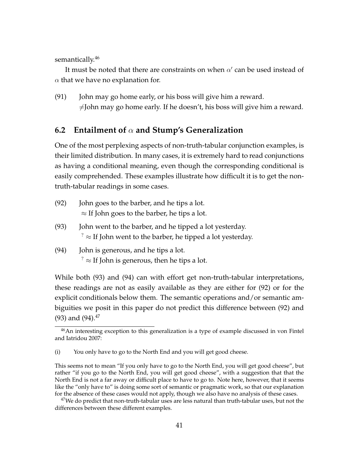semantically.<sup>46</sup>

It must be noted that there are constraints on when  $\alpha'$  can be used instead of  $\alpha$  that we have no explanation for.

(91) John may go home early, or his boss will give him a reward.  $\neq$ John may go home early. If he doesn't, his boss will give him a reward.

### **6.2 Entailment of** α **and Stump's Generalization**

One of the most perplexing aspects of non-truth-tabular conjunction examples, is their limited distribution. In many cases, it is extremely hard to read conjunctions as having a conditional meaning, even though the corresponding conditional is easily comprehended. These examples illustrate how difficult it is to get the nontruth-tabular readings in some cases.

- (92) John goes to the barber, and he tips a lot.  $\approx$  If John goes to the barber, he tips a lot.
- (93) John went to the barber, and he tipped a lot yesterday.  $\gamma^2 \approx$  If John went to the barber, he tipped a lot yesterday.
- (94) John is generous, and he tips a lot.  $\frac{1}{2} \approx$  If John is generous, then he tips a lot.

While both (93) and (94) can with effort get non-truth-tabular interpretations, these readings are not as easily available as they are either for (92) or for the explicit conditionals below them. The semantic operations and/or semantic ambiguities we posit in this paper do not predict this difference between (92) and (93) and  $(94).^{47}$ 

<sup>&</sup>lt;sup>46</sup>An interesting exception to this generalization is a type of example discussed in von Fintel and Iatridou 2007:

<sup>(</sup>i) You only have to go to the North End and you will get good cheese.

This seems not to mean "If you only have to go to the North End, you will get good cheese", but rather "if you go to the North End, you will get good cheese", with a suggestion that that the North End is not a far away or difficult place to have to go to. Note here, however, that it seems like the "only have to" is doing some sort of semantic or pragmatic work, so that our explanation for the absence of these cases would not apply, though we also have no analysis of these cases.

 $^{47}$ We do predict that non-truth-tabular uses are less natural than truth-tabular uses, but not the differences between these different examples.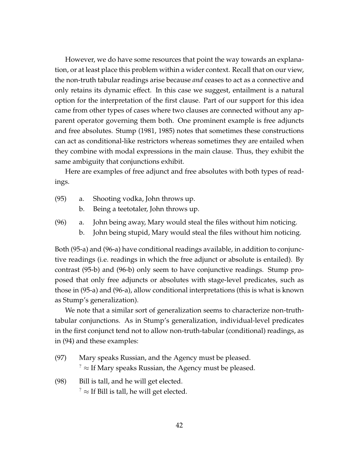However, we do have some resources that point the way towards an explanation, or at least place this problem within a wider context. Recall that on our view, the non-truth tabular readings arise because *and* ceases to act as a connective and only retains its dynamic effect. In this case we suggest, entailment is a natural option for the interpretation of the first clause. Part of our support for this idea came from other types of cases where two clauses are connected without any apparent operator governing them both. One prominent example is free adjuncts and free absolutes. Stump (1981, 1985) notes that sometimes these constructions can act as conditional-like restrictors whereas sometimes they are entailed when they combine with modal expressions in the main clause. Thus, they exhibit the same ambiguity that conjunctions exhibit.

Here are examples of free adjunct and free absolutes with both types of readings.

- (95) a. Shooting vodka, John throws up.
	- b. Being a teetotaler, John throws up.
- (96) a. John being away, Mary would steal the files without him noticing.
	- b. John being stupid, Mary would steal the files without him noticing.

Both (95-a) and (96-a) have conditional readings available, in addition to conjunctive readings (i.e. readings in which the free adjunct or absolute is entailed). By contrast (95-b) and (96-b) only seem to have conjunctive readings. Stump proposed that only free adjuncts or absolutes with stage-level predicates, such as those in (95-a) and (96-a), allow conditional interpretations (this is what is known as Stump's generalization).

We note that a similar sort of generalization seems to characterize non-truthtabular conjunctions. As in Stump's generalization, individual-level predicates in the first conjunct tend not to allow non-truth-tabular (conditional) readings, as in (94) and these examples:

- (97) Mary speaks Russian, and the Agency must be pleased.  $\gamma^2 \approx$  If Mary speaks Russian, the Agency must be pleased.
- (98) Bill is tall, and he will get elected.  $\frac{1}{2} \approx$  If Bill is tall, he will get elected.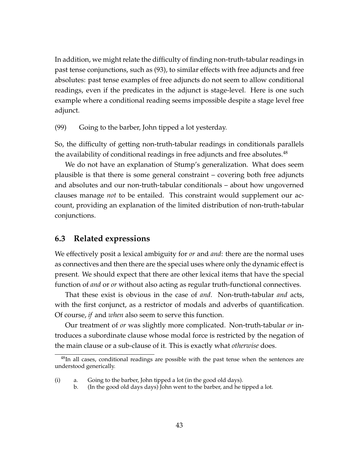In addition, we might relate the difficulty of finding non-truth-tabular readings in past tense conjunctions, such as (93), to similar effects with free adjuncts and free absolutes: past tense examples of free adjuncts do not seem to allow conditional readings, even if the predicates in the adjunct is stage-level. Here is one such example where a conditional reading seems impossible despite a stage level free adjunct.

(99) Going to the barber, John tipped a lot yesterday.

So, the difficulty of getting non-truth-tabular readings in conditionals parallels the availability of conditional readings in free adjuncts and free absolutes. $48$ 

We do not have an explanation of Stump's generalization. What does seem plausible is that there is some general constraint – covering both free adjuncts and absolutes and our non-truth-tabular conditionals – about how ungoverned clauses manage *not* to be entailed. This constraint would supplement our account, providing an explanation of the limited distribution of non-truth-tabular conjunctions.

### **6.3 Related expressions**

We effectively posit a lexical ambiguity for *or* and *and*: there are the normal uses as connectives and then there are the special uses where only the dynamic effect is present. We should expect that there are other lexical items that have the special function of *and* or *or* without also acting as regular truth-functional connectives.

That these exist is obvious in the case of *and*. Non-truth-tabular *and* acts, with the first conjunct, as a restrictor of modals and adverbs of quantification. Of course, *if* and *when* also seem to serve this function.

Our treatment of *or* was slightly more complicated. Non-truth-tabular *or* introduces a subordinate clause whose modal force is restricted by the negation of the main clause or a sub-clause of it. This is exactly what *otherwise* does.

b. (In the good old days days) John went to the barber, and he tipped a lot.

<sup>&</sup>lt;sup>48</sup>In all cases, conditional readings are possible with the past tense when the sentences are understood generically.

<sup>(</sup>i) a. Going to the barber, John tipped a lot (in the good old days).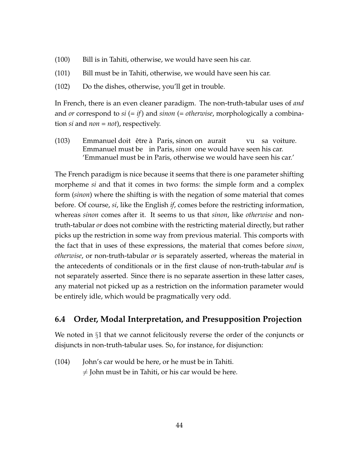- (100) Bill is in Tahiti, otherwise, we would have seen his car.
- (101) Bill must be in Tahiti, otherwise, we would have seen his car.
- (102) Do the dishes, otherwise, you'll get in trouble.

In French, there is an even cleaner paradigm. The non-truth-tabular uses of *and* and *or* correspond to *si* (= *if*) and *sinon* (= *otherwise*, morphologically a combination *si* and *non* = *not*), respectively.

(103) — Emmanuel doit étre à Paris, sinon on aurait Emmanuel must be in Paris, *sinon* one would have seen his car. vu sa voiture. 'Emmanuel must be in Paris, otherwise we would have seen his car.'

The French paradigm is nice because it seems that there is one parameter shifting morpheme *si* and that it comes in two forms: the simple form and a complex form (*sinon*) where the shifting is with the negation of some material that comes before. Of course, *si*, like the English *if*, comes before the restricting information, whereas *sinon* comes after it. It seems to us that *sinon*, like *otherwise* and nontruth-tabular *or* does not combine with the restricting material directly, but rather picks up the restriction in some way from previous material. This comports with the fact that in uses of these expressions, the material that comes before *sinon*, *otherwise*, or non-truth-tabular *or* is separately asserted, whereas the material in the antecedents of conditionals or in the first clause of non-truth-tabular *and* is not separately asserted. Since there is no separate assertion in these latter cases, any material not picked up as a restriction on the information parameter would be entirely idle, which would be pragmatically very odd.

### **6.4 Order, Modal Interpretation, and Presupposition Projection**

We noted in §1 that we cannot felicitously reverse the order of the conjuncts or disjuncts in non-truth-tabular uses. So, for instance, for disjunction:

(104) John's car would be here, or he must be in Tahiti.  $\neq$  John must be in Tahiti, or his car would be here.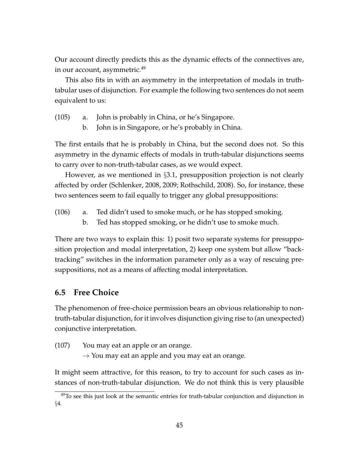Our account directly predicts this as the dynamic effects of the connectives are, in our account, asymmetric.<sup>49</sup>

This also fits in with an asymmetry in the interpretation of modals in truthtabular uses of disjunction. For example the following two sentences do not seem equivalent to us:

- (105) a. John is probably in China, or he's Singapore.
	- b. John is in Singapore, or he's probably in China.

The first entails that he is probably in China, but the second does not. So this asymmetry in the dynamic effects of modals in truth-tabular disjunctions seems to carry over to non-truth-tabular cases, as we would expect.

However, as we mentioned in §3.1, presupposition projection is not clearly affected by order (Schlenker, 2008, 2009; Rothschild, 2008). So, for instance, these two sentences seem to fail equally to trigger any global presuppositions:

- (106) a. Ted didn't used to smoke much, or he has stopped smoking.
	- b. Ted has stopped smoking, or he didn't use to smoke much.

There are two ways to explain this: 1) posit two separate systems for presupposition projection and modal interpretation, 2) keep one system but allow "backtracking" switches in the information parameter only as a way of rescuing presuppositions, not as a means of affecting modal interpretation.

### **6.5 Free Choice**

The phenomenon of free-choice permission bears an obvious relationship to nontruth-tabular disjunction, for it involves disjunction giving rise to (an unexpected) conjunctive interpretation.

(107) You may eat an apple or an orange.

 $\rightarrow$  You may eat an apple and you may eat an orange.

It might seem attractive, for this reason, to try to account for such cases as instances of non-truth-tabular disjunction. We do not think this is very plausible

 $49$ To see this just look at the semantic entries for truth-tabular conjunction and disjunction in §4.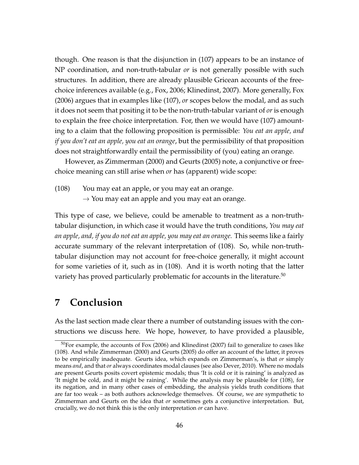though. One reason is that the disjunction in (107) appears to be an instance of NP coordination, and non-truth-tabular *or* is not generally possible with such structures. In addition, there are already plausible Gricean accounts of the freechoice inferences available (e.g., Fox, 2006; Klinedinst, 2007). More generally, Fox (2006) argues that in examples like (107), *or* scopes below the modal, and as such it does not seem that positing it to be the non-truth-tabular variant of *or* is enough to explain the free choice interpretation. For, then we would have (107) amounting to a claim that the following proposition is permissible: *You eat an apple, and if you don't eat an apple, you eat an orange*, but the permissibility of that proposition does not straightforwardly entail the permissibility of (you) eating an orange.

However, as Zimmerman (2000) and Geurts (2005) note, a conjunctive or freechoice meaning can still arise when *or* has (apparent) wide scope:

- (108) You may eat an apple, or you may eat an orange.
	- $\rightarrow$  You may eat an apple and you may eat an orange.

This type of case, we believe, could be amenable to treatment as a non-truthtabular disjunction, in which case it would have the truth conditions, *You may eat an apple, and, if you do not eat an apple, you may eat an orange.* This seems like a fairly accurate summary of the relevant interpretation of (108). So, while non-truthtabular disjunction may not account for free-choice generally, it might account for some varieties of it, such as in (108). And it is worth noting that the latter variety has proved particularly problematic for accounts in the literature.<sup>50</sup>

# **7 Conclusion**

As the last section made clear there a number of outstanding issues with the constructions we discuss here. We hope, however, to have provided a plausible,

<sup>50</sup>For example, the accounts of Fox (2006) and Klinedinst (2007) fail to generalize to cases like (108). And while Zimmerman (2000) and Geurts (2005) do offer an account of the latter, it proves to be empirically inadequate. Geurts idea, which expands on Zimmerman's, is that *or* simply means *and*, and that *or* always coordinates modal clauses (see also Dever, 2010). Where no modals are present Geurts posits covert epistemic modals; thus 'It is cold or it is raining' is analyzed as 'It might be cold, and it might be raining'. While the analysis may be plausible for (108), for its negation, and in many other cases of embedding, the analysis yields truth conditions that are far too weak – as both authors acknowledge themselves. Of course, we are sympathetic to Zimmerman and Geurts on the idea that *or* sometimes gets a conjunctive interpretation. But, crucially, we do not think this is the only interpretation *or* can have.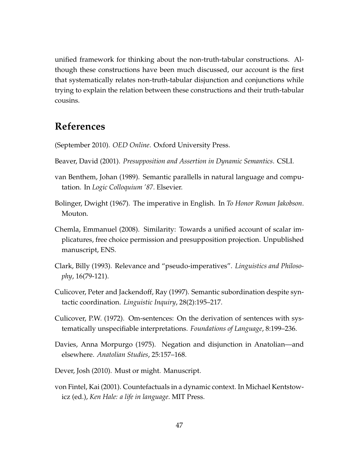unified framework for thinking about the non-truth-tabular constructions. Although these constructions have been much discussed, our account is the first that systematically relates non-truth-tabular disjunction and conjunctions while trying to explain the relation between these constructions and their truth-tabular cousins.

# **References**

(September 2010). *OED Online*. Oxford University Press.

- Beaver, David (2001). *Presupposition and Assertion in Dynamic Semantics*. CSLI.
- van Benthem, Johan (1989). Semantic parallells in natural language and computation. In *Logic Colloquium '87*. Elsevier.
- Bolinger, Dwight (1967). The imperative in English. In *To Honor Roman Jakobson*. Mouton.
- Chemla, Emmanuel (2008). Similarity: Towards a unified account of scalar implicatures, free choice permission and presupposition projection. Unpublished manuscript, ENS.
- Clark, Billy (1993). Relevance and "pseudo-imperatives". *Linguistics and Philosophy*, 16(79-121).
- Culicover, Peter and Jackendoff, Ray (1997). Semantic subordination despite syntactic coordination. *Linguistic Inquiry*, 28(2):195–217.
- Culicover, P.W. (1972). Om-sentences: On the derivation of sentences with systematically unspecifiable interpretations. *Foundations of Language*, 8:199–236.
- Davies, Anna Morpurgo (1975). Negation and disjunction in Anatolian—and elsewhere. *Anatolian Studies*, 25:157–168.
- Dever, Josh (2010). Must or might. Manuscript.
- von Fintel, Kai (2001). Countefactuals in a dynamic context. In Michael Kentstowicz (ed.), *Ken Hale: a life in language*. MIT Press.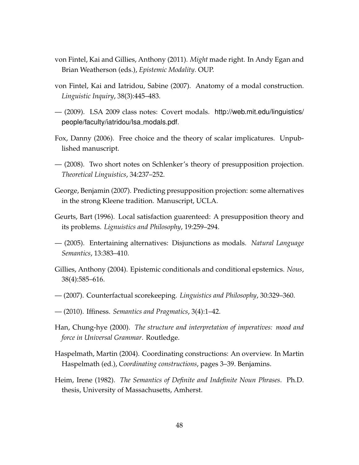- von Fintel, Kai and Gillies, Anthony (2011). *Might* made right. In Andy Egan and Brian Weatherson (eds.), *Epistemic Modality*. OUP.
- von Fintel, Kai and Iatridou, Sabine (2007). Anatomy of a modal construction. *Linguistic Inquiry*, 38(3):445–483.
- (2009). LSA 2009 class notes: Covert modals. http://web.mit.edu/linguistics/ people/faculty/iatridou/lsa modals.pdf.
- Fox, Danny (2006). Free choice and the theory of scalar implicatures. Unpublished manuscript.
- (2008). Two short notes on Schlenker's theory of presupposition projection. *Theoretical Linguistics*, 34:237–252.
- George, Benjamin (2007). Predicting presupposition projection: some alternatives in the strong Kleene tradition. Manuscript, UCLA.
- Geurts, Bart (1996). Local satisfaction guarenteed: A presupposition theory and its problems. *Lignuistics and Philosophy*, 19:259–294.
- (2005). Entertaining alternatives: Disjunctions as modals. *Natural Language Semantics*, 13:383–410.
- Gillies, Anthony (2004). Epistemic conditionals and conditional epstemics. *Nous*, 38(4):585–616.
- (2007). Counterfactual scorekeeping. *Linguistics and Philosophy*, 30:329–360.
- (2010). Iffiness. *Semantics and Pragmatics*, 3(4):1–42.
- Han, Chung-hye (2000). *The structure and interpretation of imperatives: mood and force in Universal Grammar*. Routledge.
- Haspelmath, Martin (2004). Coordinating constructions: An overview. In Martin Haspelmath (ed.), *Coordinating constructions*, pages 3–39. Benjamins.
- Heim, Irene (1982). *The Semantics of Definite and Indefinite Noun Phrases*. Ph.D. thesis, University of Massachusetts, Amherst.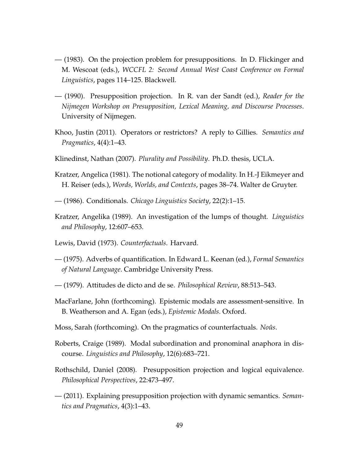- (1983). On the projection problem for presuppositions. In D. Flickinger and M. Wescoat (eds.), *WCCFL 2: Second Annual West Coast Conference on Formal Linguistics*, pages 114–125. Blackwell.
- (1990). Presupposition projection. In R. van der Sandt (ed.), *Reader for the Nijmegen Workshop on Presupposition, Lexical Meaning, and Discourse Processes*. University of Nijmegen.
- Khoo, Justin (2011). Operators or restrictors? A reply to Gillies. *Semantics and Pragmatics*, 4(4):1–43.
- Klinedinst, Nathan (2007). *Plurality and Possibility*. Ph.D. thesis, UCLA.
- Kratzer, Angelica (1981). The notional category of modality. In H.-J Eikmeyer and H. Reiser (eds.), *Words, Worlds, and Contexts*, pages 38–74. Walter de Gruyter.
- (1986). Conditionals. *Chicago Linguistics Society*, 22(2):1–15.
- Kratzer, Angelika (1989). An investigation of the lumps of thought. *Linguistics and Philosophy*, 12:607–653.
- Lewis, David (1973). *Counterfactuals*. Harvard.
- (1975). Adverbs of quantification. In Edward L. Keenan (ed.), *Formal Semantics of Natural Language*. Cambridge University Press.
- (1979). Attitudes de dicto and de se. *Philosophical Review*, 88:513–543.
- MacFarlane, John (forthcoming). Epistemic modals are assessment-sensitive. In B. Weatherson and A. Egan (eds.), *Epistemic Modals*. Oxford.
- Moss, Sarah (forthcoming). On the pragmatics of counterfactuals. *Noûs*.
- Roberts, Craige (1989). Modal subordination and pronominal anaphora in discourse. *Linguistics and Philosophy*, 12(6):683–721.
- Rothschild, Daniel (2008). Presupposition projection and logical equivalence. *Philosophical Perspectives*, 22:473–497.
- (2011). Explaining presupposition projection with dynamic semantics. *Semantics and Pragmatics*, 4(3):1–43.